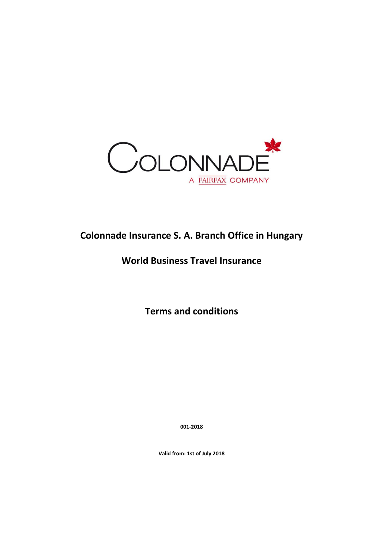

# **Colonnade Insurance S. A. Branch Office in Hungary**

# **World Business Travel Insurance**

**Terms and conditions**

**001-2018**

**Valid from: 1st of July 2018**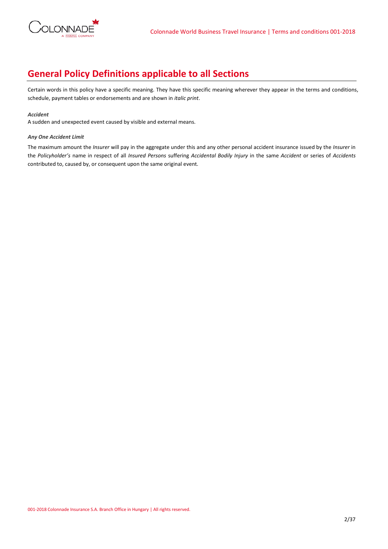

# **General Policy Definitions applicable to all Sections**

Certain words in this policy have a specific meaning. They have this specific meaning wherever they appear in the terms and conditions, schedule, payment tables or endorsements and are shown in *italic print*.

## *Accident*

A sudden and unexpected event caused by visible and external means.

# *Any One Accident Limit*

The maximum amount the *Insurer* will pay in the aggregate under this and any other personal accident insurance issued by the *Insurer* in the *Policyholder's* name in respect of all *Insured Persons* suffering *Accidental Bodily Injury* in the same *Accident* or series of *Accidents*  contributed to, caused by, or consequent upon the same original event.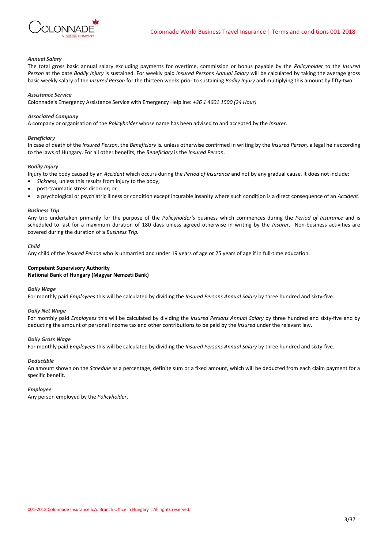

### *Annual Salary*

The total gross basic annual salary excluding payments for overtime, commission or bonus payable by the *Policyholder* to the *Insured Person* at the date *Bodily Injury* is sustained. For weekly paid *Insured Persons Annual Salary* will be calculated by taking the average gross basic weekly salary of the *Insured Person* for the thirteen weeks prior to sustaining *Bodily Injury* and multiplying this amount by fifty-two.

#### *Assistance Service*

Colonnade's Emergency Assistance Service with Emergency Helpline: *+36 1 4601 1500 (24 Hour)*

#### *Associated Company*

A company or organisation of the *Policyholder* whose name has been advised to and accepted by the *Insurer.*

#### *Beneficiary*

In case of death of the *Insured Person*, the *Beneficiary* is*,* unless otherwise confirmed in writing by the *Insured Person,* a legal heir according to the laws of Hungary. For all other benefits, the *Beneficiary* is the *Insured Person.*

## *Bodily Injury*

Injury to the body caused by an *Accident* which occurs during the *Period of Insurance* and not by any gradual cause. It does not include:

- *Sickness,* unless this results from injury to the body;
- post-traumatic stress disorder; or
- a psychological or psychiatric illness or condition except incurable insanity where such condition is a direct consequence of an *Accident*.

## *Business Trip*

Any trip undertaken primarily for the purpose of the *Policyholder's* business which commences during the *Period of Insurance* and is scheduled to last for a maximum duration of 180 days unless agreed otherwise in writing by the *Insurer*. Non-business activities are covered during the duration of a *Business Trip.*

#### *Child*

Any child of the *Insured Person* who is unmarried and under 19 years of age or 25 years of age if in full-time education.

# **Competent Supervisory Authority National Bank of Hungary (Magyar Nemzeti Bank)**

# *Daily Wage*

For monthly paid *Employees* this will be calculated by dividing the *Insured Persons Annual Salary* by three hundred and sixty-five.

### *Daily Net Wage*

For monthly paid *Employees* this will be calculated by dividing the *Insured Persons Annual Salary* by three hundred and sixty-five and by deducting the amount of personal income tax and other contributions to be paid by the *Insured* under the relevant law.

## *Daily Gross Wage*

For monthly paid *Employees* this will be calculated by dividing the *Insured Persons Annual Salary* by three hundred and sixty-five.

### *Deductible*

An amount shown on the *Schedule* as a percentage, definite sum or a fixed amount, which will be deducted from each claim payment for a specific benefit*.*

#### *Employee*

Any person employed by the *Policyholder***.**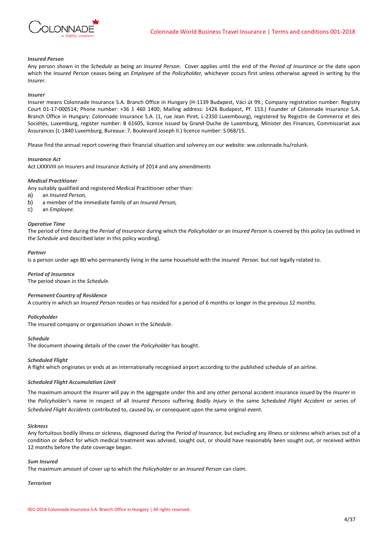

### *Insured Person*

Any person shown in the *Schedule* as being an *Insured Person*. Cover applies until the end of the *Period of Insurance* or the date upon which the *Insured Person* ceases being an *Employee* of the *Policyholder,* whichever occurs first unless otherwise agreed in writing by the *Insurer.*

#### *Insurer*

Insurer means Colonnade Insurance S.A. Branch Office in Hungary (H-1139 Budapest, Váci út 99.; Company registration number: Registry Court 01-17-000514; Phone number: +36 1 460 1400; Mailing address: 1426 Budapest, Pf. 153.) Founder of Colonnade Insurance S.A. Branch Office in Hungary: Colonnade Insurance S.A. (1, rue Jean Piret, L-2350 Luxembourg), registered by Registre de Commerce et des Sociétés, Luxemburg, register number: B 61605, licence issued by Grand-Duche de Luxemburg, Minister des Finances, Commissariat aux Assurances (L-1840 Luxemburg, Bureaux: 7, Boulevard Joseph II.) licence number: S 068/15.

Please find the annual report covering their financial situation and solvency on our website: ww.colonnade.hu/rolunk.

### *Insurance Act*

Act LXXXVIII on Insurers and Insurance Activity of 2014 and any amendments

# *Medical Practitioner*

Any suitably qualified and registered Medical Practitioner other than:

- a) an *Insured Person,*
- b) a member of the immediate family of an *Insured Person,*
- c) an *Employee.*

#### *Operative Time*

The period of time during the *Period of Insurance* during which the *Policyholder* or an *Insured Person* is covered by this policy (as outlined in the *Schedule* and described later in this policy wording).

## *Partner*

Is a person under age 80 who permanently living in the same household with the *Insured Person.* but not legally related to.

# *Period of Insurance*

The period shown in the *Schedule*.

# *Permanent Country of Residence*

A country in which an *Insured Person* resides or has resided for a period of 6 months or longer in the previous 12 months.

#### *Policyholder*

The insured company or organisation shown in the *Schedule*.

## *Schedule*

The document showing details of the cover the *Policyholder* has bought.

# *Scheduled Flight*

A flight which originates or ends at an internationally recognised airport according to the published schedule of an airline.

#### *Scheduled Flight Accumulation Limit*

The maximum amount the *Insurer* will pay in the aggregate under this and any other personal accident insurance issued by the *Insurer* in the *Policyholder'*s name in respect of all *Insured Persons* suffering *Bodily Injury* in the same *Scheduled Flight Accident* or series of *Scheduled Flight Accidents* contributed to, caused by, or consequent upon the same original event.

#### *Sickness*

Any fortuitous bodily illness or sickness, diagnosed during the *Period of Insurance,* but excluding any illness or sickness which arises out of a condition or defect for which medical treatment was advised, sought out, or should have reasonably been sought out, or received within 12 months before the date coverage began.

# *Sum Insured*

The maximum amount of cover up to which the *Policyholder* or an *Insured Person* can claim.

# *Terrorism*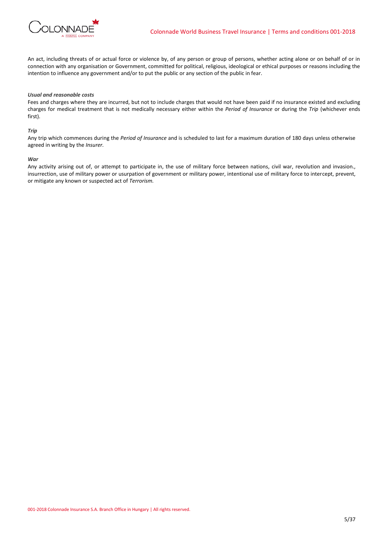

An act, including threats of or actual force or violence by, of any person or group of persons, whether acting alone or on behalf of or in connection with any organisation or Government, committed for political, religious, ideological or ethical purposes or reasons including the intention to influence any government and/or to put the public or any section of the public in fear.

## *Usual and reasonable costs*

Fees and charges where they are incurred, but not to include charges that would not have been paid if no insurance existed and excluding charges for medical treatment that is not medically necessary either within the *Period of Insurance* or during the *Trip* (whichever ends first).

#### *Trip*

Any trip which commences during the *Period of Insurance* and is scheduled to last for a maximum duration of 180 days unless otherwise agreed in writing by the *Insurer.*

#### *War*

Any activity arising out of, or attempt to participate in, the use of military force between nations, civil war, revolution and invasion., insurrection, use of military power or usurpation of government or military power, intentional use of military force to intercept, prevent, or mitigate any known or suspected act of *Terrorism.*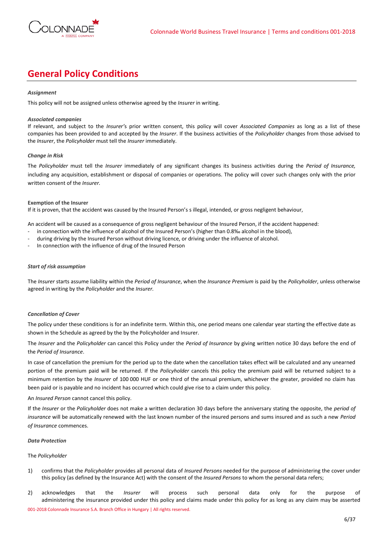

# **General Policy Conditions**

## *Assignment*

This policy will not be assigned unless otherwise agreed by the *Insurer* in writing.

# *Associated companies*

If relevant, and subject to the *Insurer'*s prior written consent, this policy will cover *Associated Companies* as long as a list of these companies has been provided to and accepted by the *Insurer*. If the business activities of the *Policyholder* changes from those advised to the *Insurer*, the *Policyholder* must tell the *Insurer* immediately.

## *Change in Risk*

The *Policyholder* must tell the *Insurer* immediately of any significant changes its business activities during the *Period of Insurance,* including any acquisition, establishment or disposal of companies or operations. The policy will cover such changes only with the prior written consent of the *Insurer.*

## **Exemption of the Insurer**

If it is proven, that the accident was caused by the Insured Person's s illegal, intended, or gross negligent behaviour,

An accident will be caused as a consequence of gross negligent behaviour of the Insured Person, if the accident happened:

- in connection with the influence of alcohol of the Insured Person's (higher than 0.8‰ alcohol in the blood),
- during driving by the Insured Person without driving licence, or driving under the influence of alcohol.
- In connection with the influence of drug of the Insured Person

## *Start of risk assumption*

The *Insurer* starts assume liability within the *Period of Insurance*, when the *Insurance Premium* is paid by the *Policyholder*, unless otherwise agreed in writing by the *Policyholder* and the *Insurer.*

# *Cancellation of Cover*

The policy under these conditions is for an indefinite term. Within this, one period means one calendar year starting the effective date as shown in the Schedule as agreed by the by the Policyholder and Insurer.

The *Insurer* and the *Policyholder* can cancel this Policy under the *Period of Insurance* by giving written notice 30 days before the end of the *Period of Insurance*.

In case of cancellation the premium for the period up to the date when the cancellation takes effect will be calculated and any unearned portion of the premium paid will be returned. If the *Policyholder* cancels this policy the premium paid will be returned subject to a minimum retention by the *Insurer* of 100 000 HUF or one third of the annual premium, whichever the greater, provided no claim has been paid or is payable and no incident has occurred which could give rise to a claim under this policy.

# An *Insured Person* cannot cancel this policy.

If the *Insurer* or the *Policyholder* does not make a written declaration 30 days before the anniversary stating the opposite, the *period of insurance* will be automatically renewed with the last known number of the insured persons and sums insured and as such a new *Period of Insurance* commences.

### *Data Protection*

### The *Policyholder*

- 1) confirms that the *Policyholder* provides all personal data of *Insured Persons* needed for the purpose of administering the cover under this policy (as defined by the Insurance Act) with the consent of the *Insured Persons* to whom the personal data refers;
- 001-2018 Colonnade Insurance S.A. Branch Office in Hungary | All rights reserved. 2) acknowledges that the *Insurer* will process such personal data only for the purpose of administering the insurance provided under this policy and claims made under this policy for as long as any claim may be asserted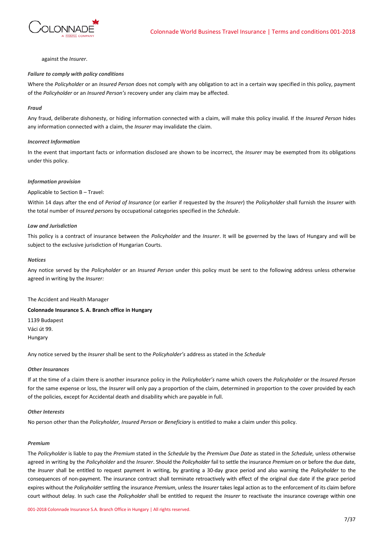

against the *Insurer*.

## *Failure to comply with policy conditions*

Where the *Policyholder* or an *Insured Person* does not comply with any obligation to act in a certain way specified in this policy, payment of the *Policyholder* or an *Insured Person's* recovery under any claim may be affected.

## *Fraud*

Any fraud, deliberate dishonesty, or hiding information connected with a claim, will make this policy invalid. If the *Insured Person* hides any information connected with a claim, the *Insurer* may invalidate the claim.

### *Incorrect Information*

In the event that important facts or information disclosed are shown to be incorrect, the *Insurer* may be exempted from its obligations under this policy.

# *Information provision*

## Applicable to Section B – Travel:

Within 14 days after the end of *Period of Insurance* (or earlier if requested by the *Insurer*) the *Policyholder* shall furnish the *Insurer* with the total number of *Insured persons* by occupational categories specified in the *Schedule*.

## *Law and Jurisdiction*

This policy is a contract of insurance between the *Policyholder* and the *Insurer*. It will be governed by the laws of Hungary and will be subject to the exclusive jurisdiction of Hungarian Courts.

## *Notices*

Any notice served by the *Policyholder* or an *Insured Person* under this policy must be sent to the following address unless otherwise agreed in writing by the *Insurer:*

The Accident and Health Manager

# **Colonnade Insurance S. A. Branch office in Hungary**

1139 Budapest Váci út 99. Hungary

Any notice served by the *Insurer* shall be sent to the *Policyholder's* address as stated in the *Schedule*

## *Other Insurances*

If at the time of a claim there is another insurance policy in the *Policyholder's* name which covers the *Policyholder* or the *Insured Person* for the same expense or loss, the *Insurer* will only pay a proportion of the claim, determined in proportion to the cover provided by each of the policies, except for Accidental death and disability which are payable in full.

# *Other Interests*

No person other than the *Policyholder, Insured Person* or *Beneficiary* is entitled to make a claim under this policy.

### *Premium*

The *Policyholder* is liable to pay the *Premium* stated in the *Schedule* by the *Premium Due Date* as stated in the *Schedule,* unless otherwise agreed in writing by the *Policyholder* and the *Insurer*. Should the *Policyholder* fail to settle the insurance *Premium* on or before the due date, the *Insurer* shall be entitled to request payment in writing, by granting a 30-day grace period and also warning the *Policyholder* to the consequences of non-payment. The insurance contract shall terminate retroactively with effect of the original due date if the grace period expires without the *Policyholder* settling the insurance *Premium*, unless the *Insurer* takes legal action as to the enforcement of its claim before court without delay. In such case the *Policyholder* shall be entitled to request the *Insurer* to reactivate the insurance coverage within one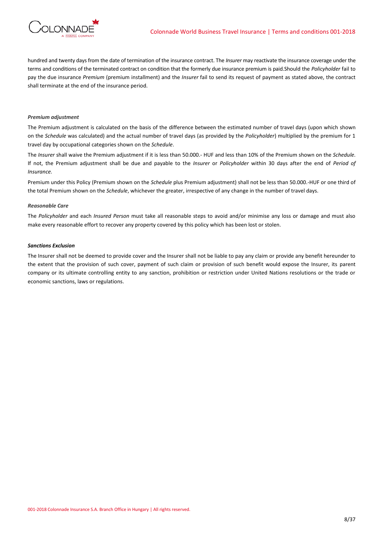

hundred and twenty days from the date of termination of the insurance contract. The *Insurer* may reactivate the insurance coverage under the terms and conditions of the terminated contract on condition that the formerly due insurance premium is paid.Should the *Policyholder* fail to pay the due insurance *Premium* (premium installment) and the *Insurer* fail to send its request of payment as stated above, the contract shall terminate at the end of the insurance period.

## *Premium adjustment*

The Premium adjustment is calculated on the basis of the difference between the estimated number of travel days (upon which shown on the *Schedule* was calculated) and the actual number of travel days (as provided by the *Policyholder*) multiplied by the premium for 1 travel day by occupational categories shown on the *Schedule*.

The *Insurer* shall waive the Premium adjustment if it is less than 50.000.- HUF and less than 10% of the Premium shown on the *Schedule*. If not, the Premium adjustment shall be due and payable to the *Insurer* or *Policyholder* within 30 days after the end of *Period of Insurance.*

Premium under this Policy (Premium shown on the *Schedule* plus Premium adjustment) shall not be less than 50.000.-HUF or one third of the total Premium shown on the *Schedule*, whichever the greater, irrespective of any change in the number of travel days.

### *Reasonable Care*

The *Policyholder* and each *Insured Person* must take all reasonable steps to avoid and/or minimise any loss or damage and must also make every reasonable effort to recover any property covered by this policy which has been lost or stolen.

## *Sanctions Exclusion*

The Insurer shall not be deemed to provide cover and the Insurer shall not be liable to pay any claim or provide any benefit hereunder to the extent that the provision of such cover, payment of such claim or provision of such benefit would expose the Insurer, its parent company or its ultimate controlling entity to any sanction, prohibition or restriction under United Nations resolutions or the trade or economic sanctions, laws or regulations.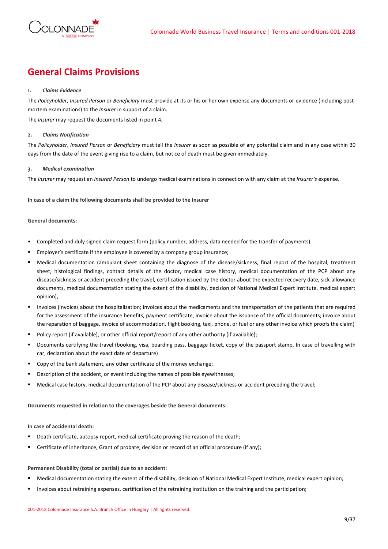

# **General Claims Provisions**

# **1.** *Claims Evidence*

The *Policyholder, Insured Person* or *Beneficiary* must provide at its or his or her own expense any documents or evidence (including postmortem examinations) to the *Insurer* in support of a claim.

The *Insurer* may request the documents listed in point 4.

# **2.** *Claims Notification*

The *Policyholder, Insured Person* or *Beneficiary* must tell the *Insurer* as soon as possible of any potential claim and in any case within 30 days from the date of the event giving rise to a claim, but notice of death must be given immediately.

# **3.** *Medical examination*

The *Insurer* may request an *Insured Person* to undergo medical examinations in connection with any claim at the *Insurer's* expense.

**In case of a claim the following documents shall be provided to the Insurer**

## **General documents:**

- Completed and duly signed claim request form (policy number, address, data needed for the transfer of payments)
- Employer's certificate if the employee is covered by a company group insurance;
- Medical documentation (ambulant sheet containing the diagnose of the disease/sickness, final report of the hospital, treatment sheet, histological findings, contact details of the doctor, medical case history, medical documentation of the PCP about any disease/sickness or accident preceding the travel, certification issued by the doctor about the expected recovery date, sick allowance documents, medical documentation stating the extent of the disability, decision of National Medical Expert Institute, medical expert opinion),
- Invoices (invoices about the hospitalization; invoices about the medicaments and the transportation of the patients that are required for the assessment of the insurance benefits, payment certificate, invoice about the issuance of the official documents; invoice about the reparation of baggage, invoice of accommodation, flight booking, taxi, phone, or fuel or any other invoice which proofs the claim)
- Policy report (if available), or other official report/report of any other authority (if available);
- Documents certifying the travel (booking, visa, boarding pass, baggage ticket, copy of the passport stamp, In case of travelling with car, declaration about the exact date of departure)
- Copy of the bank statement, any other certificate of the money exchange;
- Description of the accident, or event including the names of possible eyewitnesses;
- Medical case history, medical documentation of the PCP about any disease/sickness or accident preceding the travel;

**Documents requested in relation to the coverages beside the General documents:**

# **In case of accidental death:**

- **•** Death certificate, autopsy report, medical certificate proving the reason of the death;
- Certificate of inheritance, Grant of probate; decision or record of an official procedure (if any);

## **Permanent Disability (total or partial) due to an accident:**

- Medical documentation stating the extent of the disability, decision of National Medical Expert Institute, medical expert opinion;
- Invoices about retraining expenses, certification of the retraining institution on the training and the participation;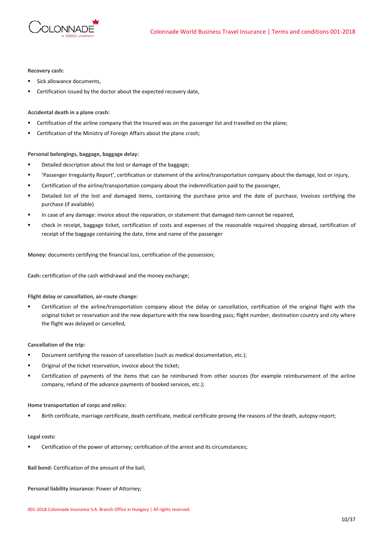

# **Recovery cash:**

- Sick allowance documents,
- Certification issued by the doctor about the expected recovery date.

# **Accidental death in a plane crash:**

- Certification of the airline company that the Insured was on the passenger list and travelled on the plane;
- Certification of the Ministry of Foreign Affairs about the plane crash;

## **Personal belongings, baggage, baggage delay:**

- Detailed description about the lost or damage of the baggage;
- 'Passenger Irregularity Report', certification or statement of the airline/transportation company about the damage, lost or injury,
- Certification of the airline/transportation company about the indemnification paid to the passenger,
- Detailed list of the lost and damaged items, containing the purchase price and the date of purchase, Invoices certifying the purchase (if available)
- In case of any damage: invoice about the reparation, or statement that damaged item cannot be repaired,
- check in receipt, baggage ticket, certification of costs and expenses of the reasonable required shopping abroad, certification of receipt of the baggage containing the date, time and name of the passenger

**Money:** documents certifying the financial loss, certification of the possession;

**Cash:** certification of the cash withdrawal and the money exchange;

### **Flight delay or cancellation, air-route change:**

Certification of the airline/transportation company about the delay or cancellation, certification of the original flight with the original ticket or reservation and the new departure with the new boarding pass; flight number, destination country and city where the flight was delayed or cancelled,

### **Cancellation of the trip:**

- Document certifying the reason of cancellation (such as medical documentation, etc.):
- Original of the ticket reservation, invoice about the ticket;
- **EXECT CERTIFICATION** Of payments of the items that can be reimbursed from other sources (for example reimbursement of the airline company, refund of the advance payments of booked services, etc.);

### **Home transportation of corps and relics:**

Birth certificate, marriage certificate, death certificate, medical certificate proving the reasons of the death, autopsy report;

### **Legal costs:**

Certification of the power of attorney; certification of the arrest and its circumstances;

**Bail bond:** Certification of the amount of the bail;

**Personal liability insurance:** Power of Attorney;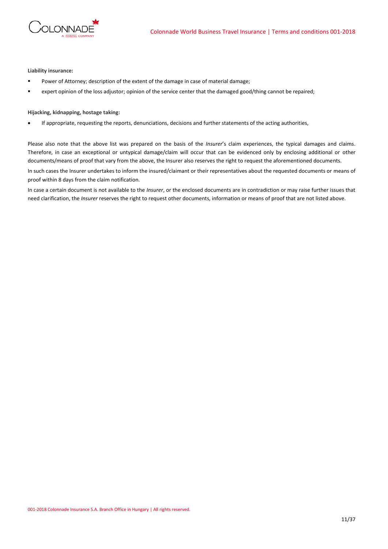

**Liability insurance:**

- Power of Attorney; description of the extent of the damage in case of material damage;
- expert opinion of the loss adjustor; opinion of the service center that the damaged good/thing cannot be repaired;

# **Hijacking, kidnapping, hostage taking:**

• If appropriate, requesting the reports, denunciations, decisions and further statements of the acting authorities,

Please also note that the above list was prepared on the basis of the *Insurer*'s claim experiences, the typical damages and claims. Therefore, in case an exceptional or untypical damage/claim will occur that can be evidenced only by enclosing additional or other documents/means of proof that vary from the above, the Insurer also reserves the right to request the aforementioned documents.

In such cases the Insurer undertakes to inform the insured/claimant or their representatives about the requested documents or means of proof within 8 days from the claim notification.

In case a certain document is not available to the *Insurer*, or the enclosed documents are in contradiction or may raise further issues that need clarification, the *Insurer* reserves the right to request other documents, information or means of proof that are not listed above.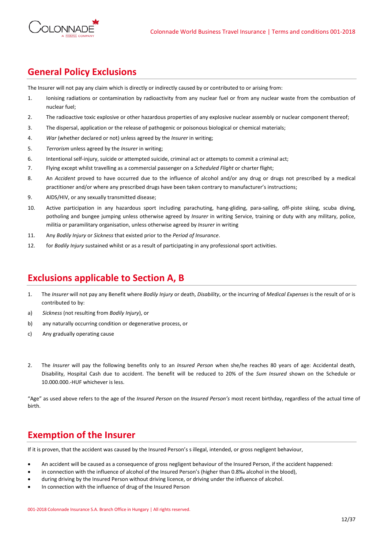

# **General Policy Exclusions**

The Insurer will not pay any claim which is directly or indirectly caused by or contributed to or arising from:

- 1. Ionising radiations or contamination by radioactivity from any nuclear fuel or from any nuclear waste from the combustion of nuclear fuel;
- 2. The radioactive toxic explosive or other hazardous properties of any explosive nuclear assembly or nuclear component thereof;
- 3. The dispersal, application or the release of pathogenic or poisonous biological or chemical materials;
- 4. *War* (whether declared or not) unless agreed by the *Insurer* in writing;
- 5. *Terrorism* unless agreed by the *Insurer* in writing;
- 6. Intentional self-injury, suicide or attempted suicide, criminal act or attempts to commit a criminal act;
- 7. Flying except whilst travelling as a commercial passenger on a *Scheduled Flight* or charter flight;
- 8. An *Accident* proved to have occurred due to the influence of alcohol and/or any drug or drugs not prescribed by a medical practitioner and/or where any prescribed drugs have been taken contrary to manufacturer's instructions;
- 9. AIDS/HIV, or any sexually transmitted disease;
- 10. Active participation in any hazardous sport including parachuting, hang-gliding, para-sailing, off-piste skiing, scuba diving, potholing and bungee jumping unless otherwise agreed by *Insurer* in writing Service, training or duty with any military, police, militia or paramilitary organisation, unless otherwise agreed by *Insurer* in writing
- 11. Any *Bodily Injury* or *Sickness* that existed prior to the *Period of Insurance*.
- 12. for *Bodily Injury* sustained whilst or as a result of participating in any professional sport activities.

# **Exclusions applicable to Section A, B**

- 1. The *Insurer* will not pay any Benefit where *Bodily Injury* or death, *Disability*, or the incurring of *Medical Expenses* is the result of or is contributed to by:
- a) *Sickness* (not resulting from *Bodily Injury*), or
- b) any naturally occurring condition or degenerative process, or
- c) Any gradually operating cause
- 2. The *Insurer* will pay the following benefits only to an *Insured Person* when she/he reaches 80 years of age: Accidental death, Disability, Hospital Cash due to accident. The benefit will be reduced to 20% of the *Sum Insured* shown on the Schedule or 10.000.000.-HUF whichever is less.

"Age" as used above refers to the age of the *Insured Person* on the *Insured Person's* most recent birthday, regardless of the actual time of birth.

# **Exemption of the Insurer**

If it is proven, that the accident was caused by the Insured Person's s illegal, intended, or gross negligent behaviour,

- An accident will be caused as a consequence of gross negligent behaviour of the Insured Person, if the accident happened:
- in connection with the influence of alcohol of the Insured Person's (higher than 0.8‰ alcohol in the blood),
- during driving by the Insured Person without driving licence, or driving under the influence of alcohol.
- In connection with the influence of drug of the Insured Person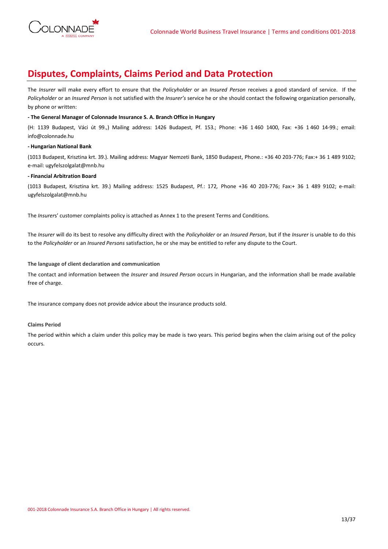

# **Disputes, Complaints, Claims Period and Data Protection**

The *Insurer* will make every effort to ensure that the *Policyholder* or an *Insured Person* receives a good standard of service. If the *Policyholder* or an *Insured Person* is not satisfied with the *Insurer's* service he or she should contact the following organization personally, by phone or written:

# **- The General Manager of Colonnade Insurance S. A. Branch Office in Hungary**

(H: 1139 Budapest, Váci út 99.,) Mailing address: 1426 Budapest, Pf. 153.; Phone: +36 1 460 1400, Fax: +36 1 460 14-99.; email: info@colonnade.hu

# **- Hungarian National Bank**

(1013 Budapest, Krisztina krt. 39.). Mailing address: Magyar Nemzeti Bank, 1850 Budapest, Phone.: +36 40 203-776; Fax:+ 36 1 489 9102; e-mail: ugyfelszolgalat@mnb.hu

# **- Financial Arbitration Board**

(1013 Budapest, Krisztina krt. 39.) Mailing address: 1525 Budapest, Pf.: 172*,* Phone +36 40 203-776; Fax:+ 36 1 489 9102; e-mail: ugyfelszolgalat@mnb.hu

The *Insurer*s' customer complaints policy is attached as Annex 1 to the present Terms and Conditions.

The *Insurer* will do its best to resolve any difficulty direct with the *Policyholder* or an *Insured Person*, but if the *Insurer* is unable to do this to the *Policyholder* or an *Insured Persons* satisfaction, he or she may be entitled to refer any dispute to the Court.

# **The language of client declaration and communication**

The contact and information between the *Insurer* and *Insured Person* occurs in Hungarian, and the information shall be made available free of charge.

The insurance company does not provide advice about the insurance products sold.

# **Claims Period**

The period within which a claim under this policy may be made is two years. This period begins when the claim arising out of the policy occurs.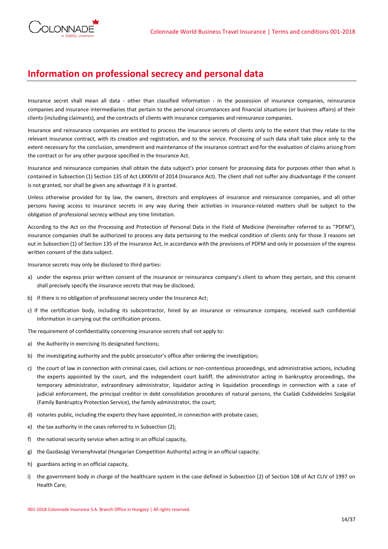

# **Information on professional secrecy and personal data**

Insurance secret shall mean all data - other than classified information - in the possession of insurance companies, reinsurance companies and insurance intermediaries that pertain to the personal circumstances and financial situations (or business affairs) of their clients (including claimants), and the contracts of clients with insurance companies and reinsurance companies.

Insurance and reinsurance companies are entitled to process the insurance secrets of clients only to the extent that they relate to the relevant insurance contract, with its creation and registration, and to the service. Processing of such data shall take place only to the extent necessary for the conclusion, amendment and maintenance of the insurance contract and for the evaluation of claims arising from the contract or for any other purpose specified in the Insurance Act.

Insurance and reinsurance companies shall obtain the data subject's prior consent for processing data for purposes other than what is contained in Subsection (1) Section 135 of Act LXXXVIII of 2014 (Insurance Act). The client shall not suffer any disadvantage if the consent is not granted, nor shall be given any advantage if it is granted.

Unless otherwise provided for by law, the owners, directors and employees of insurance and reinsurance companies, and all other persons having access to insurance secrets in any way during their activities in insurance-related matters shall be subject to the obligation of professional secrecy without any time limitation.

According to the Act on the Processing and Protection of Personal Data in the Field of Medicine (hereinafter referred to as "PDFM"), insurance companies shall be authorized to process any data pertaining to the medical condition of clients only for those 3 reasons set out in Subsection (1) of Section 135 of the Insurance Act, in accordance with the provisions of PDFM and only in possession of the express written consent of the data subject.

Insurance secrets may only be disclosed to third parties:

- a) under the express prior written consent of the insurance or reinsurance company's client to whom they pertain, and this consent shall precisely specify the insurance secrets that may be disclosed;
- b) if there is no obligation of professional secrecy under the Insurance Act;
- c) if the certification body, including its subcontractor, hired by an insurance or reinsurance company, received such confidential information in carrying out the certification process.

The requirement of confidentiality concerning insurance secrets shall not apply to:

- a) the Authority in exercising its designated functions;
- b) the investigating authority and the public prosecutor's office after ordering the investigation;
- c) the court of law in connection with criminal cases, civil actions or non-contentious proceedings, and administrative actions, including the experts appointed by the court, and the independent court bailiff, the administrator acting in bankruptcy proceedings, the temporary administrator, extraordinary administrator, liquidator acting in liquidation proceedings in connection with a case of judicial enforcement, the principal creditor in debt consolidation procedures of natural persons, the Családi Csődvédelmi Szolgálat (Family Bankruptcy Protection Service), the family administrator, the court;
- d) notaries public, including the experts they have appointed, in connection with probate cases;
- e) the tax authority in the cases referred to in Subsection (2);
- f) the national security service when acting in an official capacity,
- g) the Gazdasági Versenyhivatal (Hungarian Competition Authority) acting in an official capacity;
- h) guardians acting in an official capacity,
- i) the government body in charge of the healthcare system in the case defined in Subsection (2) of Section 108 of Act CLIV of 1997 on Health Care;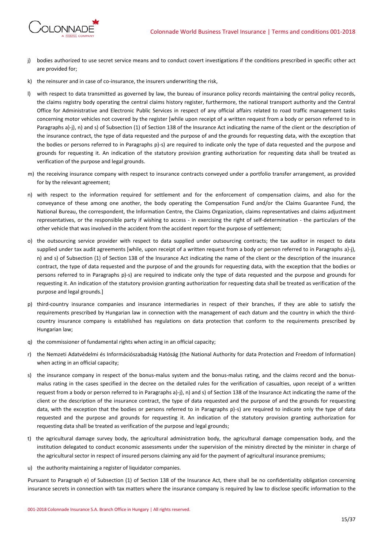

- j) bodies authorized to use secret service means and to conduct covert investigations if the conditions prescribed in specific other act are provided for;
- k) the reinsurer and in case of co-insurance, the insurers underwriting the risk,
- l) with respect to data transmitted as governed by law, the bureau of insurance policy records maintaining the central policy records, the claims registry body operating the central claims history register, furthermore, the national transport authority and the Central Office for Administrative and Electronic Public Services in respect of any official affairs related to road traffic management tasks concerning motor vehicles not covered by the register [while upon receipt of a written request from a body or person referred to in Paragraphs a)-j), n) and s) of Subsection (1) of Section 138 of the Insurance Act indicating the name of the client or the description of the insurance contract, the type of data requested and the purpose of and the grounds for requesting data, with the exception that the bodies or persons referred to in Paragraphs p)-s) are required to indicate only the type of data requested and the purpose and grounds for requesting it. An indication of the statutory provision granting authorization for requesting data shall be treated as verification of the purpose and legal grounds.
- m) the receiving insurance company with respect to insurance contracts conveyed under a portfolio transfer arrangement, as provided for by the relevant agreement;
- n) with respect to the information required for settlement and for the enforcement of compensation claims, and also for the conveyance of these among one another, the body operating the Compensation Fund and/or the Claims Guarantee Fund, the National Bureau, the correspondent, the Information Centre, the Claims Organization, claims representatives and claims adjustment representatives, or the responsible party if wishing to access - in exercising the right of self-determination - the particulars of the other vehicle that was involved in the accident from the accident report for the purpose of settlement;
- o) the outsourcing service provider with respect to data supplied under outsourcing contracts; the tax auditor in respect to data supplied under tax audit agreements [while, upon receipt of a written request from a body or person referred to in Paragraphs a)-j), n) and s) of Subsection (1) of Section 138 of the Insurance Act indicating the name of the client or the description of the insurance contract, the type of data requested and the purpose of and the grounds for requesting data, with the exception that the bodies or persons referred to in Paragraphs p)-s) are required to indicate only the type of data requested and the purpose and grounds for requesting it. An indication of the statutory provision granting authorization for requesting data shall be treated as verification of the purpose and legal grounds.]
- p) third-country insurance companies and insurance intermediaries in respect of their branches, if they are able to satisfy the requirements prescribed by Hungarian law in connection with the management of each datum and the country in which the thirdcountry insurance company is established has regulations on data protection that conform to the requirements prescribed by Hungarian law;
- q) the commissioner of fundamental rights when acting in an official capacity;
- r) the Nemzeti Adatvédelmi és Információszabadság Hatóság (the National Authority for data Protection and Freedom of Information) when acting in an official capacity;
- s) the insurance company in respect of the bonus-malus system and the bonus-malus rating, and the claims record and the bonusmalus rating in the cases specified in the decree on the detailed rules for the verification of casualties, upon receipt of a written request from a body or person referred to in Paragraphs a)-j), n) and s) of Section 138 of the Insurance Act indicating the name of the client or the description of the insurance contract, the type of data requested and the purpose of and the grounds for requesting data, with the exception that the bodies or persons referred to in Paragraphs p)-s) are required to indicate only the type of data requested and the purpose and grounds for requesting it. An indication of the statutory provision granting authorization for requesting data shall be treated as verification of the purpose and legal grounds;
- t) the agricultural damage survey body, the agricultural administration body, the agricultural damage compensation body, and the institution delegated to conduct economic assessments under the supervision of the ministry directed by the minister in charge of the agricultural sector in respect of insured persons claiming any aid for the payment of agricultural insurance premiums;
- u) the authority maintaining a register of liquidator companies.

Pursuant to Paragraph e) of Subsection (1) of Section 138 of the Insurance Act, there shall be no confidentiality obligation concerning insurance secrets in connection with tax matters where the insurance company is required by law to disclose specific information to the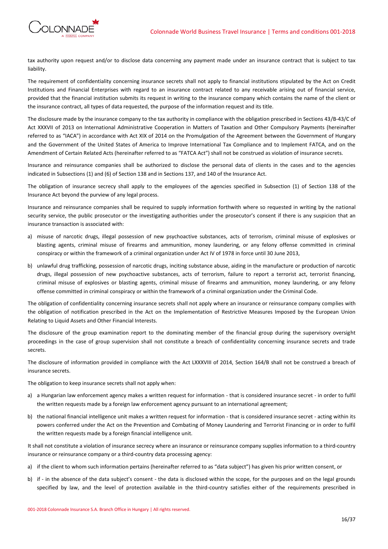

tax authority upon request and/or to disclose data concerning any payment made under an insurance contract that is subject to tax liability.

The requirement of confidentiality concerning insurance secrets shall not apply to financial institutions stipulated by the Act on Credit Institutions and Financial Enterprises with regard to an insurance contract related to any receivable arising out of financial service, provided that the financial institution submits its request in writing to the insurance company which contains the name of the client or the insurance contract, all types of data requested, the purpose of the information request and its title.

The disclosure made by the insurance company to the tax authority in compliance with the obligation prescribed in Sections 43/B-43/C of Act XXXVII of 2013 on International Administrative Cooperation in Matters of Taxation and Other Compulsory Payments (hereinafter referred to as "IACA") in accordance with Act XIX of 2014 on the Promulgation of the Agreement between the Government of Hungary and the Government of the United States of America to Improve International Tax Compliance and to Implement FATCA, and on the Amendment of Certain Related Acts (hereinafter referred to as "FATCA Act") shall not be construed as violation of insurance secrets.

Insurance and reinsurance companies shall be authorized to disclose the personal data of clients in the cases and to the agencies indicated in Subsections (1) and (6) of Section 138 and in Sections 137, and 140 of the Insurance Act.

The obligation of insurance secrecy shall apply to the employees of the agencies specified in Subsection (1) of Section 138 of the Insurance Act beyond the purview of any legal process.

Insurance and reinsurance companies shall be required to supply information forthwith where so requested in writing by the national security service, the public prosecutor or the investigating authorities under the prosecutor's consent if there is any suspicion that an insurance transaction is associated with:

- a) misuse of narcotic drugs, illegal possession of new psychoactive substances, acts of terrorism, criminal misuse of explosives or blasting agents, criminal misuse of firearms and ammunition, money laundering, or any felony offense committed in criminal conspiracy or within the framework of a criminal organization under Act IV of 1978 in force until 30 June 2013,
- b) unlawful drug trafficking, possession of narcotic drugs, inciting substance abuse, aiding in the manufacture or production of narcotic drugs, illegal possession of new psychoactive substances, acts of terrorism, failure to report a terrorist act, terrorist financing, criminal misuse of explosives or blasting agents, criminal misuse of firearms and ammunition, money laundering, or any felony offense committed in criminal conspiracy or within the framework of a criminal organization under the Criminal Code.

The obligation of confidentiality concerning insurance secrets shall not apply where an insurance or reinsurance company complies with the obligation of notification prescribed in the Act on the Implementation of Restrictive Measures Imposed by the European Union Relating to Liquid Assets and Other Financial Interests.

The disclosure of the group examination report to the dominating member of the financial group during the supervisory oversight proceedings in the case of group supervision shall not constitute a breach of confidentiality concerning insurance secrets and trade secrets.

The disclosure of information provided in compliance with the Act LXXXVIII of 2014, Section 164/B shall not be construed a breach of insurance secrets.

The obligation to keep insurance secrets shall not apply when:

- a) a Hungarian law enforcement agency makes a written request for information that is considered insurance secret in order to fulfil the written requests made by a foreign law enforcement agency pursuant to an international agreement;
- b) the national financial intelligence unit makes a written request for information that is considered insurance secret acting within its powers conferred under the Act on the Prevention and Combating of Money Laundering and Terrorist Financing or in order to fulfil the written requests made by a foreign financial intelligence unit.

It shall not constitute a violation of insurance secrecy where an insurance or reinsurance company supplies information to a third-country insurance or reinsurance company or a third-country data processing agency:

- a) if the client to whom such information pertains (hereinafter referred to as "data subject") has given his prior written consent, or
- b) if in the absence of the data subject's consent the data is disclosed within the scope, for the purposes and on the legal grounds specified by law, and the level of protection available in the third-country satisfies either of the requirements prescribed in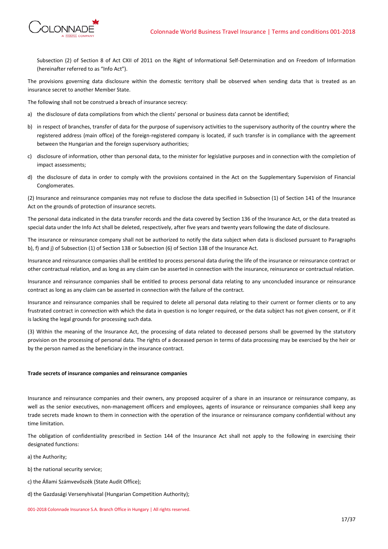



Subsection (2) of Section 8 of Act CXII of 2011 on the Right of Informational Self-Determination and on Freedom of Information (hereinafter referred to as "Info Act").

The provisions governing data disclosure within the domestic territory shall be observed when sending data that is treated as an insurance secret to another Member State.

The following shall not be construed a breach of insurance secrecy:

- a) the disclosure of data compilations from which the clients' personal or business data cannot be identified;
- b) in respect of branches, transfer of data for the purpose of supervisory activities to the supervisory authority of the country where the registered address (main office) of the foreign-registered company is located, if such transfer is in compliance with the agreement between the Hungarian and the foreign supervisory authorities;
- c) disclosure of information, other than personal data, to the minister for legislative purposes and in connection with the completion of impact assessments;
- d) the disclosure of data in order to comply with the provisions contained in the Act on the Supplementary Supervision of Financial Conglomerates.

(2) Insurance and reinsurance companies may not refuse to disclose the data specified in Subsection (1) of Section 141 of the Insurance Act on the grounds of protection of insurance secrets.

The personal data indicated in the data transfer records and the data covered by Section 136 of the Insurance Act, or the data treated as special data under the Info Act shall be deleted, respectively, after five years and twenty years following the date of disclosure.

The insurance or reinsurance company shall not be authorized to notify the data subject when data is disclosed pursuant to Paragraphs b), f) and j) of Subsection (1) of Section 138 or Subsection (6) of Section 138 of the Insurance Act.

Insurance and reinsurance companies shall be entitled to process personal data during the life of the insurance or reinsurance contract or other contractual relation, and as long as any claim can be asserted in connection with the insurance, reinsurance or contractual relation.

Insurance and reinsurance companies shall be entitled to process personal data relating to any unconcluded insurance or reinsurance contract as long as any claim can be asserted in connection with the failure of the contract.

Insurance and reinsurance companies shall be required to delete all personal data relating to their current or former clients or to any frustrated contract in connection with which the data in question is no longer required, or the data subject has not given consent, or if it is lacking the legal grounds for processing such data.

(3) Within the meaning of the Insurance Act, the processing of data related to deceased persons shall be governed by the statutory provision on the processing of personal data. The rights of a deceased person in terms of data processing may be exercised by the heir or by the person named as the beneficiary in the insurance contract.

# **Trade secrets of insurance companies and reinsurance companies**

Insurance and reinsurance companies and their owners, any proposed acquirer of a share in an insurance or reinsurance company, as well as the senior executives, non-management officers and employees, agents of insurance or reinsurance companies shall keep any trade secrets made known to them in connection with the operation of the insurance or reinsurance company confidential without any time limitation.

The obligation of confidentiality prescribed in Section 144 of the Insurance Act shall not apply to the following in exercising their designated functions:

a) the Authority;

b) the national security service;

- c) the Állami Számvevőszék (State Audit Office);
- d) the Gazdasági Versenyhivatal (Hungarian Competition Authority);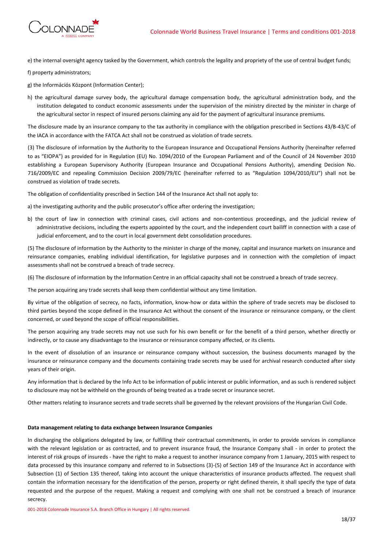

e) the internal oversight agency tasked by the Government, which controls the legality and propriety of the use of central budget funds;

f) property administrators;

- g) the Információs Központ (Information Center);
- h) the agricultural damage survey body, the agricultural damage compensation body, the agricultural administration body, and the institution delegated to conduct economic assessments under the supervision of the ministry directed by the minister in charge of the agricultural sector in respect of insured persons claiming any aid for the payment of agricultural insurance premiums.

The disclosure made by an insurance company to the tax authority in compliance with the obligation prescribed in Sections 43/B-43/C of the IACA in accordance with the FATCA Act shall not be construed as violation of trade secrets.

(3) The disclosure of information by the Authority to the European Insurance and Occupational Pensions Authority (hereinafter referred to as "EIOPA") as provided for in Regulation (EU) No. 1094/2010 of the European Parliament and of the Council of 24 November 2010 establishing a European Supervisory Authority (European Insurance and Occupational Pensions Authority), amending Decision No. 716/2009/EC and repealing Commission Decision 2009/79/EC (hereinafter referred to as "Regulation 1094/2010/EU") shall not be construed as violation of trade secrets.

The obligation of confidentiality prescribed in Section 144 of the Insurance Act shall not apply to:

a) the investigating authority and the public prosecutor's office after ordering the investigation;

b) the court of law in connection with criminal cases, civil actions and non-contentious proceedings, and the judicial review of administrative decisions, including the experts appointed by the court, and the independent court bailiff in connection with a case of judicial enforcement, and to the court in local government debt consolidation procedures.

(5) The disclosure of information by the Authority to the minister in charge of the money, capital and insurance markets on insurance and reinsurance companies, enabling individual identification, for legislative purposes and in connection with the completion of impact assessments shall not be construed a breach of trade secrecy.

(6) The disclosure of information by the Information Centre in an official capacity shall not be construed a breach of trade secrecy.

The person acquiring any trade secrets shall keep them confidential without any time limitation.

By virtue of the obligation of secrecy, no facts, information, know-how or data within the sphere of trade secrets may be disclosed to third parties beyond the scope defined in the Insurance Act without the consent of the insurance or reinsurance company, or the client concerned, or used beyond the scope of official responsibilities.

The person acquiring any trade secrets may not use such for his own benefit or for the benefit of a third person, whether directly or indirectly, or to cause any disadvantage to the insurance or reinsurance company affected, or its clients.

In the event of dissolution of an insurance or reinsurance company without succession, the business documents managed by the insurance or reinsurance company and the documents containing trade secrets may be used for archival research conducted after sixty years of their origin.

Any information that is declared by the Info Act to be information of public interest or public information, and as such is rendered subject to disclosure may not be withheld on the grounds of being treated as a trade secret or insurance secret.

Other matters relating to insurance secrets and trade secrets shall be governed by the relevant provisions of the Hungarian Civil Code.

### **Data management relating to data exchange between Insurance Companies**

In discharging the obligations delegated by law, or fulfilling their contractual commitments, in order to provide services in compliance with the relevant legislation or as contracted, and to prevent insurance fraud, the Insurance Company shall - in order to protect the interest of risk groups of insureds - have the right to make a request to another insurance company from 1 January, 2015 with respect to data processed by this insurance company and referred to in Subsections (3)-(5) of Section 149 of the Insurance Act in accordance with Subsection (1) of Section 135 thereof, taking into account the unique characteristics of insurance products affected. The request shall contain the information necessary for the identification of the person, property or right defined therein, it shall specify the type of data requested and the purpose of the request. Making a request and complying with one shall not be construed a breach of insurance secrecy.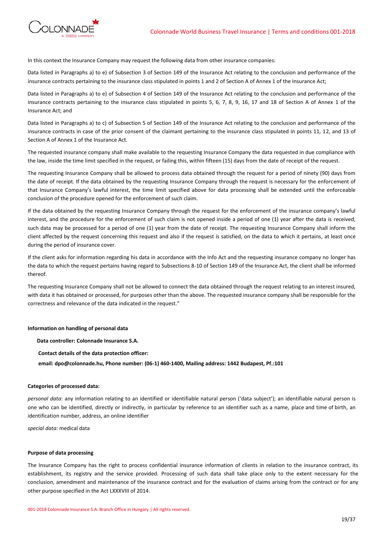

In this context the Insurance Company may request the following data from other insurance companies:

Data listed in Paragraphs a) to e) of Subsection 3 of Section 149 of the Insurance Act relating to the conclusion and performance of the insurance contracts pertaining to the insurance class stipulated in points 1 and 2 of Section A of Annex 1 of the Insurance Act;

Data listed in Paragraphs a) to e) of Subsection 4 of Section 149 of the Insurance Act relating to the conclusion and performance of the insurance contracts pertaining to the insurance class stipulated in points 5, 6, 7, 8, 9, 16, 17 and 18 of Section A of Annex 1 of the Insurance Act; and

Data listed in Paragraphs a) to c) of Subsection 5 of Section 149 of the Insurance Act relating to the conclusion and performance of the insurance contracts in case of the prior consent of the claimant pertaining to the insurance class stipulated in points 11, 12, and 13 of Section A of Annex 1 of the Insurance Act.

The requested insurance company shall make available to the requesting Insurance Company the data requested in due compliance with the law, inside the time limit specified in the request, or failing this, within fifteen (15) days from the date of receipt of the request.

The requesting Insurance Company shall be allowed to process data obtained through the request for a period of ninety (90) days from the date of receipt. If the data obtained by the requesting Insurance Company through the request is necessary for the enforcement of that Insurance Company's lawful interest, the time limit specified above for data processing shall be extended until the enforceable conclusion of the procedure opened for the enforcement of such claim.

If the data obtained by the requesting Insurance Company through the request for the enforcement of the insurance company's lawful interest, and the procedure for the enforcement of such claim is not opened inside a period of one (1) year after the data is received, such data may be processed for a period of one (1) year from the date of receipt. The requesting Insurance Company shall inform the client affected by the request concerning this request and also if the request is satisfied, on the data to which it pertains, at least once during the period of insurance cover.

If the client asks for information regarding his data in accordance with the Info Act and the requesting insurance company no longer has the data to which the request pertains having regard to Subsections 8-10 of Section 149 of the Insurance Act, the client shall be informed thereof.

The requesting Insurance Company shall not be allowed to connect the data obtained through the request relating to an interest insured, with data it has obtained or processed, for purposes other than the above. The requested insurance company shall be responsible for the correctness and relevance of the data indicated in the request."

# **Information on handling of personal data**

**Data controller: Colonnade Insurance S.A.**

**Contact details of the data protection officer:**

**email: dpo@colonnade.hu, Phone number: (06-1) 460-1400, Mailing address: 1442 Budapest, Pf.:101**

### **Categories of processed data:**

*personal data*: any information relating to an identified or identifiable natural person ('data subject'); an identifiable natural person is one who can be identified, directly or indirectly, in particular by reference to an identifier such as a name, place and time of birth, an identification number, address, an online identifier

*special data:* medical data

#### **Purpose of data processing**

The Insurance Company has the right to process confidential insurance information of clients in relation to the insurance contract, its establishment, its registry and the service provided. Processing of such data shall take place only to the extent necessary for the conclusion, amendment and maintenance of the insurance contract and for the evaluation of claims arising from the contract or for any other purpose specified in the Act LXXXVIII of 2014.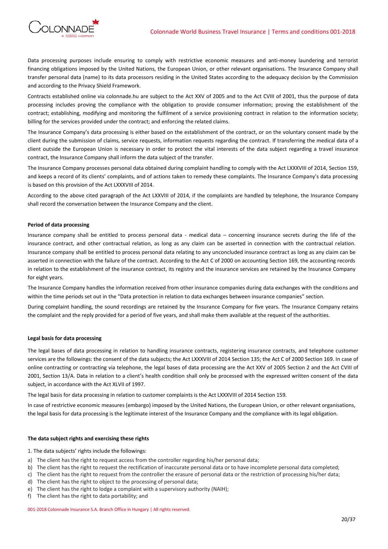

Data processing purposes include ensuring to comply with restrictive economic measures and anti-money laundering and terrorist financing obligations imposed by the United Nations, the European Union, or other relevant organisations. The Insurance Company shall transfer personal data (name) to its data processors residing in the United States according to the adequacy decision by the Commission and according to the Privacy Shield Framework.

Contracts established online via colonnade.hu are subject to the Act XXV of 2005 and to the Act CVIII of 2001, thus the purpose of data processing includes proving the compliance with the obligation to provide consumer information; proving the establishment of the contract; establishing, modifying and monitoring the fulfilment of a service provisioning contract in relation to the information society; billing for the services provided under the contract; and enforcing the related claims.

The Insurance Company's data processing is either based on the establishment of the contract, or on the voluntary consent made by the client during the submission of claims, service requests, information requests regarding the contract. If transferring the medical data of a client outside the European Union is necessary in order to protect the vital interests of the data subject regarding a travel insurance contract, the Insurance Company shall inform the data subject of the transfer.

The Insurance Company processes personal data obtained during complaint handling to comply with the Act LXXXVIII of 2014, Section 159, and keeps a record of its clients' complaints, and of actions taken to remedy these complaints. The Insurance Company's data processing is based on this provision of the Act LXXXVIII of 2014.

According to the above cited paragraph of the Act LXXVIII of 2014, if the complaints are handled by telephone, the Insurance Company shall record the conversation between the Insurance Company and the client.

# **Period of data processing**

Insurance company shall be entitled to process personal data - medical data – concerning insurance secrets during the life of the insurance contract, and other contractual relation, as long as any claim can be asserted in connection with the contractual relation. Insurance company shall be entitled to process personal data relating to any unconcluded insurance contract as long as any claim can be asserted in connection with the failure of the contract. According to the Act C of 2000 on accounting Section 169, the accounting records in relation to the establishment of the insurance contract, its registry and the insurance services are retained by the Insurance Company for eight years.

The Insurance Company handles the information received from other insurance companies during data exchanges with the conditions and within the time periods set out in the "Data protection in relation to data exchanges between insurance companies" section.

During complaint handling, the sound recordings are retained by the Insurance Company for five years. The Insurance Company retains the complaint and the reply provided for a period of five years, and shall make them available at the request of the authorities.

# **Legal basis for data processing**

The legal bases of data processing in relation to handling insurance contracts, registering insurance contracts, and telephone customer services are the followings: the consent of the data subjects; the Act LXXXVIII of 2014 Section 135; the Act C of 2000 Section 169. In case of online contracting or contracting via telephone, the legal bases of data processing are the Act XXV of 2005 Section 2 and the Act CVIII of 2001, Section 13/A. Data in relation to a client's health condition shall only be processed with the expressed written consent of the data subject, in accordance with the Act XLVII of 1997.

The legal basis for data processing in relation to customer complaints is the Act LXXXVIII of 2014 Section 159.

In case of restrictive economic measures (embargo) imposed by the United Nations, the European Union, or other relevant organisations, the legal basis for data processing is the legitimate interest of the Insurance Company and the compliance with its legal obligation.

### **The data subject rights and exercising these rights**

1. The data subjects' rights include the followings:

- a) The client has the right to request access from the controller regarding his/her personal data;
- b) The client has the right to request the rectification of inaccurate personal data or to have incomplete personal data completed;
- c) The client has the right to request from the controller the erasure of personal data or the restriction of processing his/her data;
- d) The client has the right to object to the processing of personal data;
- e) The client has the right to lodge a complaint with a supervisory authority (NAIH);
- f) The client has the right to data portability; and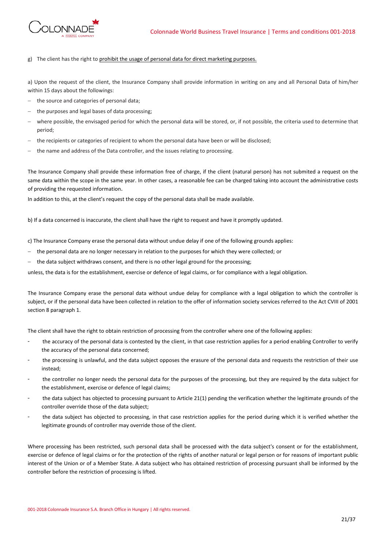

g) The client has the right to prohibit the usage of personal data for direct marketing purposes.

a) Upon the request of the client, the Insurance Company shall provide information in writing on any and all Personal Data of him/her within 15 days about the followings:

- the source and categories of personal data;
- $-$  the purposes and legal bases of data processing;
- where possible, the envisaged period for which the personal data will be stored, or, if not possible, the criteria used to determine that period;
- the recipients or categories of recipient to whom the personal data have been or will be disclosed;
- the name and address of the Data controller, and the issues relating to processing.

The Insurance Company shall provide these information free of charge, if the client (natural person) has not submited a request on the same data within the scope in the same year. In other cases, a reasonable fee can be charged taking into account the administrative costs of providing the requested information.

In addition to this, at the client's request the copy of the personal data shall be made available.

b) If a data concerned is inaccurate, the client shall have the right to request and have it promptly updated.

c) The Insurance Company erase the personal data without undue delay if one of the following grounds applies:

- the personal data are no longer necessary in relation to the purposes for which they were collected; or
- the data subject withdraws consent, and there is no other legal ground for the processing;

unless, the data is for the establishment, exercise or defence of legal claims, or for compliance with a legal obligation.

The Insurance Company erase the personal data without undue delay for compliance with a legal obligation to which the controller is subject, or if the personal data have been collected in relation to the offer of information society services referred to the Act CVIII of 2001 section 8 paragraph 1.

The client shall have the right to obtain restriction of processing from the controller where one of the following applies:

- the accuracy of the personal data is contested by the client, in that case restriction applies for a period enabling Controller to verify the accuracy of the personal data concerned;
- the processing is unlawful, and the data subject opposes the erasure of the personal data and requests the restriction of their use instead;
- the controller no longer needs the personal data for the purposes of the processing, but they are required by the data subject for the establishment, exercise or defence of legal claims;
- the data subject has objected to processing pursuant to Article 21(1) pending the verification whether the legitimate grounds of the controller override those of the data subject;
- the data subject has objected to processing, in that case restriction applies for the period during which it is verified whether the legitimate grounds of controller may override those of the client.

Where processing has been restricted, such personal data shall be processed with the data subject's consent or for the establishment, exercise or defence of legal claims or for the protection of the rights of another natural or legal person or for reasons of important public interest of the Union or of a Member State. A data subject who has obtained restriction of processing pursuant shall be informed by the controller before the restriction of processing is lifted.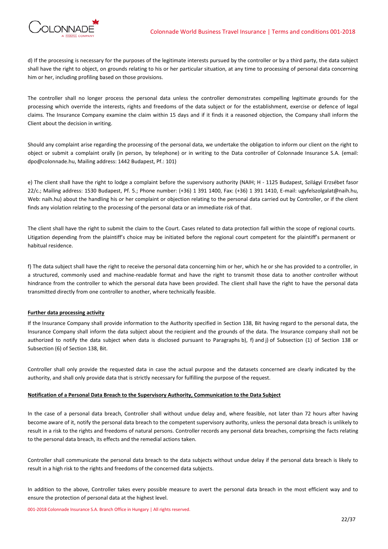

d) If the processing is necessary for the purposes of the legitimate interests pursued by the controller or by a third party, the data subject shall have the right to object, on grounds relating to his or her particular situation, at any time to processing of personal data concerning him or her, including profiling based on those provisions.

The controller shall no longer process the personal data unless the controller demonstrates compelling legitimate grounds for the processing which override the interests, rights and freedoms of the data subject or for the establishment, exercise or defence of legal claims. The Insurance Company examine the claim within 15 days and if it finds it a reasoned objection, the Company shall inform the Client about the decision in writing.

Should any complaint arise regarding the processing of the personal data, we undertake the obligation to inform our client on the right to object or submit a complaint orally (in person, by telephone) or in writing to the Data controller of Colonnade Insurance S.A. (email: dpo@colonnade.hu, Mailing address: 1442 Budapest, Pf.: 101)

e) The client shall have the right to lodge a complaint before the supervisory authority (NAIH; H - 1125 Budapest, Szilágyi Erzsébet fasor 22/c.; Mailing address: 1530 Budapest, Pf. 5.; Phone number: (+36) 1 391 1400, Fax: (+36) 1 391 1410, E-mail: ugyfelszolgalat@naih.hu, Web: naih.hu) about the handling his or her complaint or objection relating to the personal data carried out by Controller, or if the client finds any violation relating to the processing of the personal data or an immediate risk of that.

The client shall have the right to submit the claim to the Court. Cases related to data protection fall within the scope of regional courts. Litigation depending from the plaintiff's choice may be initiated before the regional court competent for the plaintiff's permanent or habitual residence.

f) The data subject shall have the right to receive the personal data concerning him or her, which he or she has provided to a controller, in a structured, commonly used and machine-readable format and have the right to transmit those data to another controller without hindrance from the controller to which the personal data have been provided. The client shall have the right to have the personal data transmitted directly from one controller to another, where technically feasible.

# **Further data processing activity**

If the Insurance Company shall provide information to the Authority specified in Section 138, Bit having regard to the personal data, the Insurance Company shall inform the data subject about the recipient and the grounds of the data. The Insurance company shall not be authorized to notify the data subject when data is disclosed pursuant to Paragraphs b), f) and j) of Subsection (1) of Section 138 or Subsection (6) of Section 138, Bit.

Controller shall only provide the requested data in case the actual purpose and the datasets concerned are clearly indicated by the authority, and shall only provide data that is strictly necessary for fulfilling the purpose of the request.

# **Notification of a Personal Data Breach to the Supervisory Authority, Communication to the Data Subject**

In the case of a personal data breach, Controller shall without undue delay and, where feasible, not later than 72 hours after having become aware of it, notify the personal data breach to the competent supervisory authority, unless the personal data breach is unlikely to result in a risk to the rights and freedoms of natural persons. Controller records any personal data breaches, comprising the facts relating to the personal data breach, its effects and the remedial actions taken.

Controller shall communicate the personal data breach to the data subjects without undue delay if the personal data breach is likely to result in a high risk to the rights and freedoms of the concerned data subjects.

In addition to the above, Controller takes every possible measure to avert the personal data breach in the most efficient way and to ensure the protection of personal data at the highest level.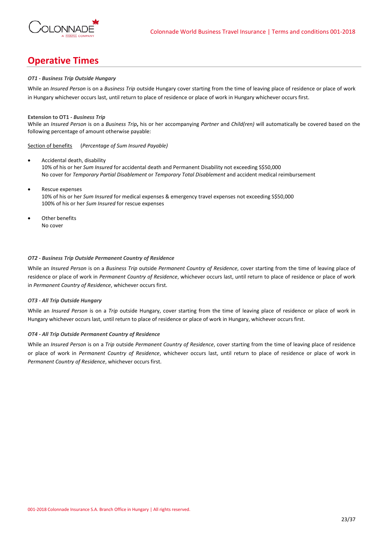

# **Operative Times**

# *OT1 - Business Trip Outside Hungary*

While an *Insured Person* is on a *Business Trip* outside Hungary cover starting from the time of leaving place of residence or place of work in Hungary whichever occurs last, until return to place of residence or place of work in Hungary whichever occurs first.

## **Extension to OT1 -** *Business Trip*

While an *Insured Person* is on a *Business Trip***,** his or her accompanying *Partner* and *Child(ren)* will automatically be covered based on the following percentage of amount otherwise payable:

Section of benefits (*Percentage of Sum Insured Payable)*

- Accidental death, disability 10% of his or her *Sum Insured* for accidental death and Permanent Disability not exceeding S\$50,000 No cover for *Temporary Partial Disablement* or *Temporary Total Disablement* and accident medical reimbursement
- Rescue expenses 10% of his or her *Sum Insured* for medical expenses & emergency travel expenses not exceeding S\$50,000 100% of his or her *Sum Insured* for rescue expenses
- Other benefits No cover

## *OT2 - Business Trip Outside Permanent Country of Residence*

While an *Insured Person* is on a *Business Trip* outside *Permanent Country of Residence*, cover starting from the time of leaving place of residence or place of work in *Permanent Country of Residence*, whichever occurs last, until return to place of residence or place of work in *Permanent Country of Residence*, whichever occurs first.

## *OT3 - All Trip Outside Hungary*

While an *Insured Person* is on a *Trip* outside Hungary, cover starting from the time of leaving place of residence or place of work in Hungary whichever occurs last, until return to place of residence or place of work in Hungary, whichever occurs first.

# *OT4 - All Trip Outside Permanent Country of Residence*

While an *Insured Person* is on a *Trip* outside *Permanent Country of Residence*, cover starting from the time of leaving place of residence or place of work in *Permanent Country of Residence*, whichever occurs last, until return to place of residence or place of work in *Permanent Country of Residence*, whichever occurs first.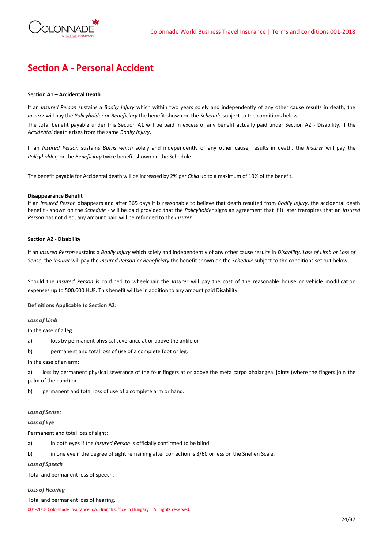

# **Section A - Personal Accident**

# **Section A1 – Accidental Death**

If an *Insured Person* sustains a *Bodily Injury* which within two years solely and independently of any other cause results in death, the *Insurer* will pay the *Policyholder or Beneficiary* the benefit shown on the *Schedule* subject to the conditions below.

The total benefit payable under this Section A1 will be paid in excess of any benefit actually paid under Section A2 - Disability, if the *Accidental* death arises from the same *Bodily Injury*.

If an *Insured Person* sustains *Burns which* solely and independently of any other cause, results in death, the *Insurer* will pay the *Policyholder,* or the *Beneficiary* twice benefit shown on the Schedule.

The benefit payable for Accidental death will be increased by 2% per *Child* up to a maximum of 10% of the benefit.

## **Disappearance Benefit**

If an *Insured Person* disappears and after 365 days it is reasonable to believe that death resulted from *Bodily Injury*, the accidental death benefit - shown on the *Schedule* - will be paid provided that the *Policyholder* signs an agreement that if it later transpires that an *Insured Person* has not died, any amount paid will be refunded to the *Insurer.*

## **Section A2 - Disability**

If an *Insured Person* sustains a *Bodily Injury* which solely and independently of any other cause results in *Disability*, *Loss of Limb or Loss of Sense*, the *Insurer* will pay the *Insured Person* or *Beneficiary* the benefit shown on the *Schedule* subject to the conditions set out below.

Should the *Insured Person* is confined to wheelchair the *Insurer* will pay the cost of the reasonable house or vehicle modification expenses up to 500.000 HUF. This benefit will be in addition to any amount paid Disability.

**Definitions Applicable to Section A2:**

# *Loss of Limb*

In the case of a leg:

a) loss by permanent physical severance at or above the ankle or

b) permanent and total loss of use of a complete foot or leg.

In the case of an arm:

a) loss by permanent physical severance of the four fingers at or above the meta carpo phalangeal joints (where the fingers join the palm of the hand) or

b) permanent and total loss of use of a complete arm or hand.

# *Loss of Sense:*

# *Loss of Eye*

Permanent and total loss of sight:

a) in both eyes if the *Insured Person* is officially confirmed to be blind.

b) in one eye if the degree of sight remaining after correction is 3/60 or less on the Snellen Scale.

*Loss of Speech*

Total and permanent loss of speech.

# *Loss of Hearing*

Total and permanent loss of hearing.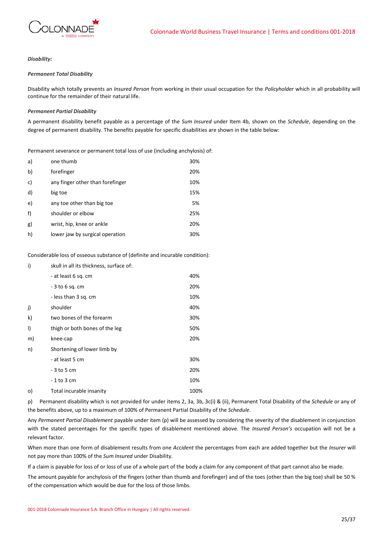

# *Disability:*

# *Permanent Total Disability*

Disability which totally prevents an *Insured Person* from working in their usual occupation for the *Policyholder* which in all probability will continue for the remainder of their natural life.

# *Permanent Partial Disability*

A permanent disability benefit payable as a percentage of the *Sum Insured* under Item 4b, shown on the *Schedule*, depending on the degree of permanent disability. The benefits payable for specific disabilities are shown in the table below:

Permanent severance or permanent total loss of use (including anchylosis) of:

| a) | one thumb                        | 30% |
|----|----------------------------------|-----|
| b) | forefinger                       | 20% |
| c) | any finger other than forefinger | 10% |
| d) | big toe                          | 15% |
| e) | any toe other than big toe       | 5%  |
| f) | shoulder or elbow                | 25% |
| g) | wrist, hip, knee or ankle        | 20% |
| h) | lower jaw by surgical operation  | 30% |

Considerable loss of osseous substance of (definite and incurable condition):

| i)      | skull in all its thickness, surface of: |      |  |
|---------|-----------------------------------------|------|--|
|         | - at least 6 sq. cm                     | 40%  |  |
|         | - 3 to 6 sq. cm                         | 20%  |  |
|         | - less than 3 sq. cm                    | 10%  |  |
| j)      | shoulder                                | 40%  |  |
| k)      | two bones of the forearm                | 30%  |  |
| I)      | thigh or both bones of the leg          | 50%  |  |
| m)      | knee-cap                                | 20%  |  |
| n)      | Shortening of lower limb by             |      |  |
|         | - at least 5 cm                         | 30%  |  |
|         | - 3 to 5 cm                             | 20%  |  |
|         | - 1 to 3 cm                             | 10%  |  |
| $\circ$ | Total incurable insanity                | 100% |  |
|         |                                         |      |  |

p) Permanent disability which is not provided for under items 2, 3a, 3b, 3c(i) & (ii), Permanent Total Disability of the *Schedule* or any of the benefits above, up to a maximum of 100% of Permanent Partial Disability of the *Schedule*.

Any *Permanent Partial Disablement* payable under item (p) will be assessed by considering the severity of the disablement in conjunction with the stated percentages for the specific types of disablement mentioned above. The *Insured Person's* occupation will not be a relevant factor.

When more than one form of disablement results from one *Accident* the percentages from each are added together but the *Insurer* will not pay more than 100% of the *Sum Insured* under Disability.

If a claim is payable for loss of or loss of use of a whole part of the body a claim for any component of that part cannot also be made.

The amount payable for anchylosis of the fingers (other than thumb and forefinger) and of the toes (other than the big toe) shall be 50 % of the compensation which would be due for the loss of those limbs.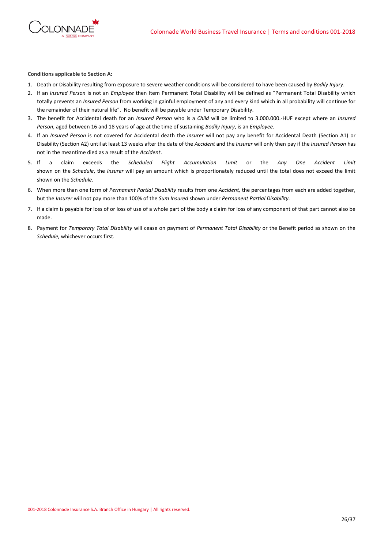

**Conditions applicable to Section A:**

- 1. Death or Disability resulting from exposure to severe weather conditions will be considered to have been caused by *Bodily Injury*.
- 2. If an *Insured Person* is not an *Employee* then Item Permanent Total Disability will be defined as "Permanent Total Disability which totally prevents an *Insured Person* from working in gainful employment of any and every kind which in all probability will continue for the remainder of their natural life". No benefit will be payable under Temporary Disability.
- 3. The benefit for Accidental death for an *Insured Person* who is a *Child* will be limited to 3.000.000.-HUF except where an *Insured Person*, aged between 16 and 18 years of age at the time of sustaining *Bodily Injury*, is an *Employee*.
- 4. If an *Insured Person* is not covered for Accidental death the *Insurer* will not pay any benefit for Accidental Death (Section A1) or Disability (Section A2) until at least 13 weeks after the date of the *Accident* and the *Insurer* will only then pay if the *Insured Person* has not in the meantime died as a result of the *Accident*.
- 5. If a claim exceeds the *Scheduled Flight Accumulation Limit* or the *Any One Accident Limit* shown on the *Schedule*, the *Insurer* will pay an amount which is proportionately reduced until the total does not exceed the limit shown on the *Schedule*.
- 6. When more than one form of *Permanent Partial Disability* results from one *Accident,* the percentages from each are added together, but the *Insurer* will not pay more than 100% of the *Sum Insured* shown under *Permanent Partial Disability.*
- 7. If a claim is payable for loss of or loss of use of a whole part of the body a claim for loss of any component of that part cannot also be made.
- 8. Payment for *Temporary Total Disability* will cease on payment of *Permanent Total Disability* or the Benefit period as shown on the *Schedule,* whichever occurs first.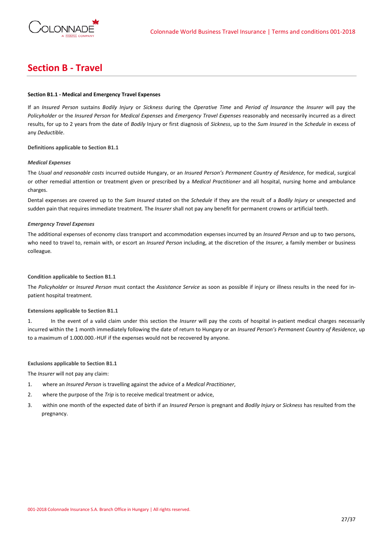

# **Section B - Travel**

# **Section B1.1 - Medical and Emergency Travel Expenses**

If an *Insured Person* sustains *Bodily Injury* or *Sickness* during the *Operative Time* and *Period of Insurance* the *Insurer* will pay the *Policyholder* or the *Insured Person* for *Medical Expenses* and *Emergency Travel Expenses* reasonably and necessarily incurred as a direct results, for up to 2 years from the date of *Bodily* Injury or first diagnosis of *Sickness*, up to the *Sum Insured* in the *Schedule* in excess of any *Deductible*.

**Definitions applicable to Section B1.1**

## *Medical Expenses*

The *Usual and reasonable costs* incurred outside Hungary, or an *Insured Person's Permanent Country of Residence*, for medical, surgical or other remedial attention or treatment given or prescribed by a *Medical Practitioner* and all hospital, nursing home and ambulance charges.

Dental expenses are covered up to the *Sum Insured* stated on the *Schedule* if they are the result of a *Bodily Injury* or unexpected and sudden pain that requires immediate treatment*.* The *Insurer* shall not pay any benefit for permanent crowns or artificial teeth.

## *Emergency Travel Expenses*

The additional expenses of economy class transport and accommodation expenses incurred by an *Insured Person* and up to two persons, who need to travel to, remain with, or escort an *Insured Person* including, at the discretion of the *Insurer,* a family member or business colleague*.*

# **Condition applicable to Section B1.1**

The *Policyholder* or *Insured Person* must contact the *Assistance Service* as soon as possible if injury or illness results in the need for inpatient hospital treatment.

# **Extensions applicable to Section B1.1**

1. In the event of a valid claim under this section the *Insurer* will pay the costs of hospital in-patient medical charges necessarily incurred within the 1 month immediately following the date of return to Hungary or an *Insured Person's Permanent Country of Residence*, up to a maximum of 1.000.000.-HUF if the expenses would not be recovered by anyone.

# **Exclusions applicable to Section B1.1**

The *Insurer* will not pay any claim:

- 1. where an *Insured Person* is travelling against the advice of a *Medical Practitioner*,
- 2. where the purpose of the *Trip* is to receive medical treatment or advice,
- 3. within one month of the expected date of birth if an *Insured Person* is pregnant and *Bodily Injury* or *Sickness* has resulted from the pregnancy.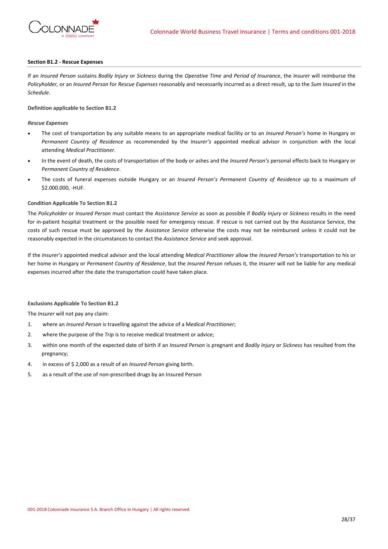

## **Section B1.2 - Rescue Expenses**

If an *Insured Person* sustains *Bodily Injury* or *Sickness* during the *Operative Time* and *Period of Insurance*, the *Insurer* will reimburse the *Policyholder,* or an *Insured Person* for *Rescue Expenses* reasonably and necessarily incurred as a direct result, up to the *Sum Insured* in the *Schedule*.

## **Definition applicable to Section B1.2**

## *Rescue Expenses*

- The cost of transportation by any suitable means to an appropriate medical facility or to an *Insured Person's* home in Hungary or *Permanent Country of Residence* as recommended by the *Insurer's* appointed medical advisor in conjunction with the local attending *Medical Practitioner.*
- In the event of death, the costs of transportation of the body or ashes and the *Insured Person's* personal effects back to Hungary or *Permanent Country of Residence*.
- The costs of funeral expenses outside Hungary or an *Insured Person's Permanent Country of Residence* up to a maximum of \$2.000.000, -HUF.

## **Condition Applicable To Section B1.2**

The *Policyholder* or *Insured Person* must contact the *Assistance Service* as soon as possible if *Bodily Injury* or *Sickness* results in the need for in-patient hospital treatment or the possible need for emergency rescue. If rescue is not carried out by the Assistance Service, the costs of such rescue must be approved by the *Assistance Service* otherwise the costs may not be reimbursed unless it could not be reasonably expected in the circumstances to contact the *Assistance Service* and seek approval.

If the *Insurer's* appointed medical advisor and the local attending *Medical Practitioner* allow the *Insured Person's* transportation to his or her home in Hungary or *Permanent Country of Residence*, but the *Insured Person* refuses it, the *Insurer* will not be liable for any medical expenses incurred after the date the transportation could have taken place.

## **Exclusions Applicable To Section B1.2**

The *Insurer* will not pay any claim:

- 1. where an *Insured Person* is travelling against the advice of a M*edical Practitioner*;
- 2. where the purpose of the *Trip* is to receive medical treatment or advice;
- 3. within one month of the expected date of birth if an *Insured Person* is pregnant and *Bodily Injury* or *Sickness* has resulted from the pregnancy;
- 4. in excess of \$ 2,000 as a result of an *Insured Person* giving birth.
- 5. as a result of the use of non-prescribed drugs by an Insured Person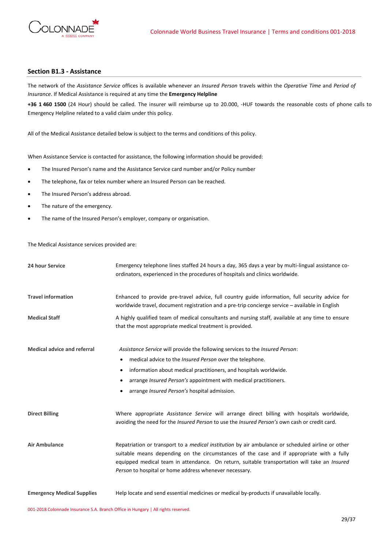

# **Section B1.3 - Assistance**

The network of the *Assistance Service* offices is available whenever an *Insured Person* travels within the *Operative Time* and *Period of Insurance*. If Medical Assistance is required at any time the **Emergency Helpline**

**+36 1 460 1500** (24 Hour) should be called. The insurer will reimburse up to 20.000, -HUF towards the reasonable costs of phone calls to Emergency Helpline related to a valid claim under this policy.

All of the Medical Assistance detailed below is subject to the terms and conditions of this policy.

When Assistance Service is contacted for assistance, the following information should be provided:

- The Insured Person's name and the Assistance Service card number and/or Policy number
- The telephone, fax or telex number where an Insured Person can be reached.
- The Insured Person's address abroad.
- The nature of the emergency.
- The name of the Insured Person's employer, company or organisation.

The Medical Assistance services provided are:

| 24 hour Service                    | Emergency telephone lines staffed 24 hours a day, 365 days a year by multi-lingual assistance co-<br>ordinators, experienced in the procedures of hospitals and clinics worldwide.                                                                                                                                                                                     |  |  |
|------------------------------------|------------------------------------------------------------------------------------------------------------------------------------------------------------------------------------------------------------------------------------------------------------------------------------------------------------------------------------------------------------------------|--|--|
| <b>Travel information</b>          | Enhanced to provide pre-travel advice, full country guide information, full security advice for<br>worldwide travel, document registration and a pre-trip concierge service – available in English                                                                                                                                                                     |  |  |
| <b>Medical Staff</b>               | A highly qualified team of medical consultants and nursing staff, available at any time to ensure<br>that the most appropriate medical treatment is provided.                                                                                                                                                                                                          |  |  |
| <b>Medical advice and referral</b> | Assistance Service will provide the following services to the Insured Person:                                                                                                                                                                                                                                                                                          |  |  |
|                                    | medical advice to the <i>Insured Person</i> over the telephone.<br>$\bullet$                                                                                                                                                                                                                                                                                           |  |  |
|                                    | information about medical practitioners, and hospitals worldwide.<br>$\bullet$                                                                                                                                                                                                                                                                                         |  |  |
|                                    | arrange <i>Insured Person's</i> appointment with medical practitioners.<br>٠                                                                                                                                                                                                                                                                                           |  |  |
|                                    | arrange <i>Insured Person's</i> hospital admission.                                                                                                                                                                                                                                                                                                                    |  |  |
| <b>Direct Billing</b>              | Where appropriate Assistance Service will arrange direct billing with hospitals worldwide,<br>avoiding the need for the <i>Insured Person</i> to use the <i>Insured Person's</i> own cash or credit card.                                                                                                                                                              |  |  |
| <b>Air Ambulance</b>               | Repatriation or transport to a <i>medical institution</i> by air ambulance or scheduled airline or other<br>suitable means depending on the circumstances of the case and if appropriate with a fully<br>equipped medical team in attendance. On return, suitable transportation will take an <i>Insured</i><br>Person to hospital or home address whenever necessary. |  |  |
| <b>Emergency Medical Supplies</b>  | Help locate and send essential medicines or medical by-products if unavailable locally.                                                                                                                                                                                                                                                                                |  |  |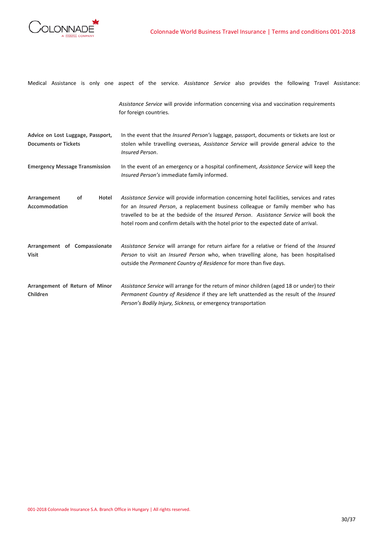

|                                                                  | Medical Assistance is only one aspect of the service. Assistance Service also provides the following Travel Assistance:                                                                                                                                                                                                                                                          |
|------------------------------------------------------------------|----------------------------------------------------------------------------------------------------------------------------------------------------------------------------------------------------------------------------------------------------------------------------------------------------------------------------------------------------------------------------------|
|                                                                  | Assistance Service will provide information concerning visa and vaccination requirements<br>for foreign countries.                                                                                                                                                                                                                                                               |
| Advice on Lost Luggage, Passport,<br><b>Documents or Tickets</b> | In the event that the Insured Person's luggage, passport, documents or tickets are lost or<br>stolen while travelling overseas, Assistance Service will provide general advice to the<br>Insured Person.                                                                                                                                                                         |
| <b>Emergency Message Transmission</b>                            | In the event of an emergency or a hospital confinement, Assistance Service will keep the<br>Insured Person's immediate family informed.                                                                                                                                                                                                                                          |
| Arrangement<br>of<br>Hotel<br><b>Accommodation</b>               | Assistance Service will provide information concerning hotel facilities, services and rates<br>for an <i>Insured Person</i> , a replacement business colleague or family member who has<br>travelled to be at the bedside of the <i>Insured Person. Assistance Service</i> will book the<br>hotel room and confirm details with the hotel prior to the expected date of arrival. |
| Arrangement of Compassionate<br><b>Visit</b>                     | Assistance Service will arrange for return airfare for a relative or friend of the Insured<br>Person to visit an <i>Insured Person</i> who, when travelling alone, has been hospitalised<br>outside the Permanent Country of Residence for more than five days.                                                                                                                  |
| Arrangement of Return of Minor<br>Children                       | Assistance Service will arrange for the return of minor children (aged 18 or under) to their<br>Permanent Country of Residence if they are left unattended as the result of the Insured<br>Person's Bodily Injury, Sickness, or emergency transportation                                                                                                                         |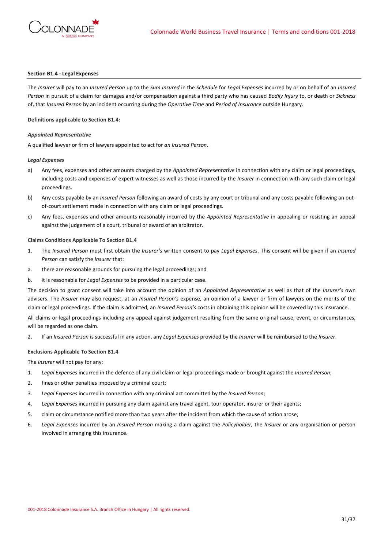

## **Section B1.4 - Legal Expenses**

The *Insurer* will pay to an *Insured Person* up to the *Sum Insured* in the *Schedule* for *Legal Expenses* incurred by or on behalf of an *Insured Person* in pursuit of a claim for damages and/or compensation against a third party who has caused *Bodily Injury* to, or death or *Sickness* of, that *Insured Person* by an incident occurring during the *Operative Time* and *Period of Insurance* outside Hungary.

**Definitions applicable to Section B1.4:**

## *Appointed Representative*

A qualified lawyer or firm of lawyers appointed to act for *an Insured Person*.

### *Legal Expenses*

- a) Any fees, expenses and other amounts charged by the *Appointed Representative* in connection with any claim or legal proceedings, including costs and expenses of expert witnesses as well as those incurred by the *Insurer* in connection with any such claim or legal proceedings.
- b) Any costs payable by an *Insured Person* following an award of costs by any court or tribunal and any costs payable following an outof-court settlement made in connection with any claim or legal proceedings.
- c) Any fees, expenses and other amounts reasonably incurred by the *Appointed Representative* in appealing or resisting an appeal against the judgement of a court, tribunal or award of an arbitrator.

# **Claims Conditions Applicable To Section B1.4**

- 1. The *Insured Person* must first obtain the *Insurer's* written consent to pay *Legal Expenses*. This consent will be given if an *Insured Person* can satisfy the *Insurer* that:
- a. there are reasonable grounds for pursuing the legal proceedings; and
- b. it is reasonable for *Legal Expenses* to be provided in a particular case.

The decision to grant consent will take into account the opinion of an *Appointed Representative* as well as that of the *Insurer's* own advisers. The *Insurer* may also request, at an *Insured Person's* expense, an opinion of a lawyer or firm of lawyers on the merits of the claim or legal proceedings. If the claim is admitted, an *Insured Person's* costs in obtaining this opinion will be covered by this insurance.

All claims or legal proceedings including any appeal against judgement resulting from the same original cause, event, or circumstances, will be regarded as one claim.

2. If an *Insured Person* is successful in any action, any *Legal Expenses* provided by the *Insurer* will be reimbursed to the *Insurer*.

## **Exclusions Applicable To Section B1.4**

The *Insurer* will not pay for any:

- 1. *Legal Expenses* incurred in the defence of any civil claim or legal proceedings made or brought against the *Insured Person*;
- 2. fines or other penalties imposed by a criminal court;
- 3. *Legal Expenses* incurred in connection with any criminal act committed by the *Insured Person*;
- 4. *Legal Expenses* incurred in pursuing any claim against any travel agent, tour operator, insurer or their agents;
- 5. claim or circumstance notified more than two years after the incident from which the cause of action arose;
- 6. *Legal Expenses* incurred by an *Insured Person* making a claim against the *Policyholder,* the *Insurer* or any organisation or person involved in arranging this insurance.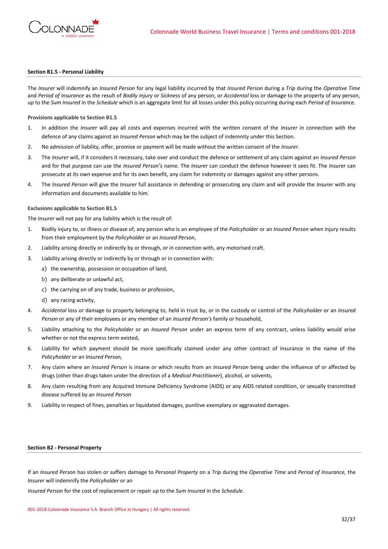

### **Section B1.5 - Personal Liability**

The *Insurer* will indemnify an *Insured Person* for any legal liability incurred by that *Insured Person* during a *Trip* during the *Operative Time*  and *Period of Insurance* as the result of *Bodily Injury* or *Sickness* of any person, or *Accidental* loss or damage to the property of any person, up to the *Sum Insured* in the *Schedule* which is an aggregate limit for all losses under this policy occurring during each *Period of Insurance*.

**Provisions applicable to Section B1.5**

- 1. In addition the *Insurer* will pay all costs and expenses incurred with the written consent of the *Insurer* in connection with the defence of any claims against an *Insured Person* which may be the subject of indemnity under this Section.
- 2. No admission of liability, offer, promise or payment will be made without the written consent of the *Insurer*.
- 3. The *Insurer* will, if it considers it necessary, take over and conduct the defence or settlement of any claim against an *Insured Person* and for that purpose can use the *Insured Person's* name. The *Insurer* can conduct the defence however it sees fit. The *Insurer* can prosecute at its own expense and for its own benefit, any claim for indemnity or damages against any other persons.
- 4. The *Insured Person* will give the *Insurer* full assistance in defending or prosecuting any claim and will provide the *Insurer* with any information and documents available to him.

### **Exclusions applicable to Section B1.5**

The *Insurer* will not pay for any liability which is the result of:

- 1. Bodily injury to, or illness or disease of, any person who is an employee of the *Policyholder* or an *Insured Person* when injury results from their employment by the *Policyholder* or an *Insured Person*,
- 2. Liability arising directly or indirectly by or through, or in connection with, any motorised craft.
- 3. Liability arising directly or indirectly by or through or in connection with:
	- a) the ownership, possession or occupation of land,
	- b) any deliberate or unlawful act,
	- c) the carrying on of any trade, business or profession,
	- d) any racing activity,
- 4. *Accidental* loss or damage to property belonging to, held in trust by, or in the custody or control of the *Policyholder* or an *Insured Person* or any of their employees or any member of an *Insured Person's* family or household,
- 5. Liability attaching to the *Policyholder* or an *Insured Person* under an express term of any contract, unless liability would arise whether or not the express term existed,
- 6. Liability for which payment should be more specifically claimed under any other contract of insurance in the name of the *Policyholder* or an *Insured Person,*
- 7. Any claim where an *Insured Person* is insane or which results from an *Insured Person* being under the influence of or affected by drugs (other than drugs taken under the direction of a *Medical Practitioner*), alcohol, or solvents,
- 8. Any claim resulting from any Acquired Immune Deficiency Syndrome (AIDS) or any AIDS related condition, or sexually transmitted disease suffered by an *Insured Person*
- 9. Liability in respect of fines, penalties or liquidated damages, punitive exemplary or aggravated damages.

#### **Section B2 - Personal Property**

If an *Insured Person* has stolen or suffers damage to *Personal Property* on a *Trip* during the *Operative Time* and *Period of Insurance,* the *Insurer* will indemnify the *Policyholder* or an

*Insured Person* for the cost of replacement or repair up to the *Sum Insured* in the *Schedule*.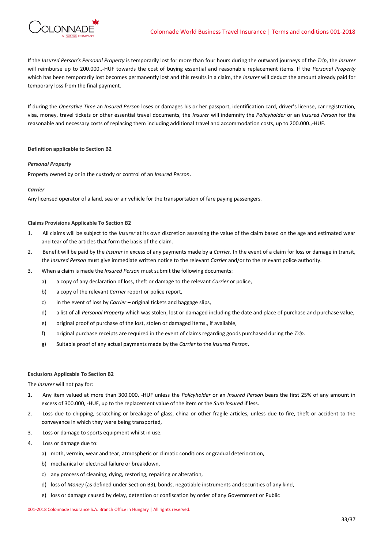

If the *Insured Person's Personal Property* is temporarily lost for more than four hours during the outward journeys of the *Trip*, the *Insurer* will reimburse up to 200.000.,-HUF towards the cost of buying essential and reasonable replacement items. If the *Personal Property* which has been temporarily lost becomes permanently lost and this results in a claim, the *Insurer* will deduct the amount already paid for temporary loss from the final payment.

If during the *Operative Time* an *Insured Person* loses or damages his or her passport, identification card, driver's license, car registration, visa, money, travel tickets or other essential travel documents, the *Insurer* will indemnify the *Policyholder* or an *Insured Person* for the reasonable and necessary costs of replacing them including additional travel and accommodation costs, up to 200.000.,-HUF.

## **Definition applicable to Section B2**

## *Personal Property*

Property owned by or in the custody or control of an *Insured Person*.

## *Carrier*

Any licensed operator of a land, sea or air vehicle for the transportation of fare paying passengers.

## **Claims Provisions Applicable To Section B2**

- 1. All claims will be subject to the *Insurer* at its own discretion assessing the value of the claim based on the age and estimated wear and tear of the articles that form the basis of the claim.
- 2. Benefit will be paid by the *Insurer* in excess of any payments made by a *Carrier*. In the event of a claim for loss or damage in transit, the *Insured Person* must give immediate written notice to the relevant *Carrier* and/or to the relevant police authority.
- 3. When a claim is made the *Insured Person* must submit the following documents:
	- a) a copy of any declaration of loss, theft or damage to the relevant *Carrier* or police,
	- b) a copy of the relevant *Carrier* report or police report,
	- c) in the event of loss by *Carrier* original tickets and baggage slips,
	- d) a list of all *Personal Property* which was stolen, lost or damaged including the date and place of purchase and purchase value,
	- e) original proof of purchase of the lost, stolen or damaged items., if available,
	- f) original purchase receipts are required in the event of claims regarding goods purchased during the *Trip*.
	- g) Suitable proof of any actual payments made by the *Carrier* to the *Insured Person*.

## **Exclusions Applicable To Section B2**

The *Insurer* will not pay for:

- 1. Any item valued at more than 300.000, -HUF unless the *Policyholder* or an *Insured Person* bears the first 25% of any amount in excess of 300.000, -HUF, up to the replacement value of the item or the *Sum Insured* if less.
- 2. Loss due to chipping, scratching or breakage of glass, china or other fragile articles, unless due to fire, theft or accident to the conveyance in which they were being transported,
- 3. Loss or damage to sports equipment whilst in use.
- 4. Loss or damage due to:
	- a) moth, vermin, wear and tear, atmospheric or climatic conditions or gradual deterioration,
	- b) mechanical or electrical failure or breakdown,
	- c) any process of cleaning, dying, restoring, repairing or alteration,
	- d) loss of *Money* (as defined under Section B3), bonds, negotiable instruments and securities of any kind,
	- e) loss or damage caused by delay, detention or confiscation by order of any Government or Public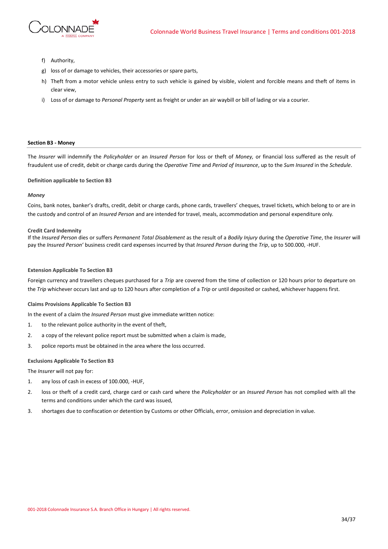

- f) Authority,
- g) loss of or damage to vehicles, their accessories or spare parts,
- h) Theft from a motor vehicle unless entry to such vehicle is gained by visible, violent and forcible means and theft of items in clear view,
- i) Loss of or damage to *Personal Property* sent as freight or under an air waybill or bill of lading or via a courier.

### **Section B3 - Money**

The *Insurer* will indemnify the *Policyholder* or an *Insured Person* for loss or theft of *Money,* or financial loss suffered as the result of fraudulent use of credit, debit or charge cards during the *Operative Time* and *Period of Insurance*, up to the *Sum Insured* in the *Schedule*.

#### **Definition applicable to Section B3**

#### *Money*

Coins, bank notes, banker's drafts, credit, debit or charge cards, phone cards, travellers' cheques, travel tickets, which belong to or are in the custody and control of an *Insured Person* and are intended for travel, meals, accommodation and personal expenditure only*.*

#### **Credit Card Indemnity**

If the *Insured Person* dies or suffers *Permanent Total Disablement* as the result of a *Bodily Injury* during the *Operative Time*, the *Insurer* will pay the *Insured Person*' business credit card expenses incurred by that *Insured Person* during the *Trip*, up to 500.000, -HUF.

#### **Extension Applicable To Section B3**

Foreign currency and travellers cheques purchased for a *Trip* are covered from the time of collection or 120 hours prior to departure on the *Trip* whichever occurs last and up to 120 hours after completion of a *Trip* or until deposited or cashed, whichever happens first.

# **Claims Provisions Applicable To Section B3**

In the event of a claim the *Insured Person* must give immediate written notice:

- 1. to the relevant police authority in the event of theft,
- 2. a copy of the relevant police report must be submitted when a claim is made,
- 3. police reports must be obtained in the area where the loss occurred.

## **Exclusions Applicable To Section B3**

The *Insurer* will not pay for:

- 1. any loss of cash in excess of 100.000, -HUF,
- 2. loss or theft of a credit card, charge card or cash card where the *Policyholder* or an *Insured Person* has not complied with all the terms and conditions under which the card was issued,
- 3. shortages due to confiscation or detention by Customs or other Officials, error, omission and depreciation in value.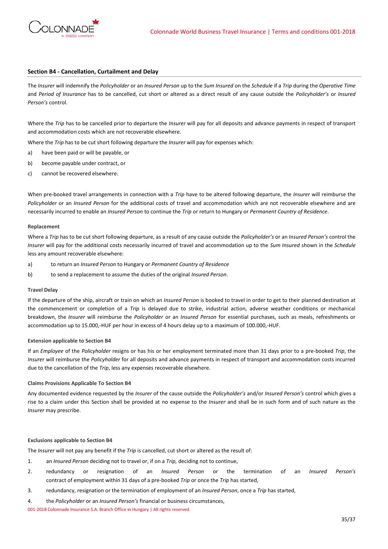

## **Section B4 - Cancellation, Curtailment and Delay**

The *Insurer* will indemnify the *Policyholder* or an *Insured Person* up to the *Sum Insured* on the *Schedule* if a *Trip* during the *Operative Time* and *Period of Insurance* has to be cancelled, cut short or altered as a direct result of any cause outside the *Policyholder's* or *Insured Person's* control.

Where the *Trip* has to be cancelled prior to departure the *Insurer* will pay for all deposits and advance payments in respect of transport and accommodation costs which are not recoverable elsewhere.

Where the *Trip* has to be cut short following departure the *Insurer* will pay for expenses which:

- a) have been paid or will be payable, or
- b) become payable under contract, or
- c) cannot be recovered elsewhere.

When pre-booked travel arrangements in connection with a *Trip* have to be altered following departure, the *Insurer* will reimburse the *Policyholder* or an *Insured Person* for the additional costs of travel and accommodation which are not recoverable elsewhere and are necessarily incurred to enable an *Insured Person* to continue the *Trip* or return to Hungary or *Permanent Country of Residence*.

#### **Replacement**

Where a *Trip* has to be cut short following departure, as a result of any cause outside the *Policyholder's* or an *Insured Person's* control the *Insurer* will pay for the additional costs necessarily incurred of travel and accommodation up to the *Sum Insured* shown in the *Schedule* less any amount recoverable elsewhere:

- a) to return an *Insured Person* to Hungary or *Permanent Country of Residence*
- b) to send a replacement to assume the duties of the original *Insured Person*.

#### **Travel Delay**

If the departure of the ship, aircraft or train on which an *Insured Person* is booked to travel in order to get to their planned destination at the commencement or completion of a *Trip* is delayed due to strike, industrial action, adverse weather conditions or mechanical breakdown, the *Insurer* will reimburse the *Policyholder* or an *Insured Person* for essential purchases, such as meals, refreshments or accommodation up to 15.000,-HUF per hour in excess of 4 hours delay up to a maximum of 100.000,-HUF.

### **Extension applicable to Section B4**

If an *Employee* of the *Policyholder* resigns or has his or her employment terminated more than 31 days prior to a pre-booked *Trip*, the *Insurer* will reimburse the *Policyholder* for all deposits and advance payments in respect of transport and accommodation costs incurred due to the cancellation of the *Trip*, less any expenses recoverable elsewhere.

### **Claims Provisions Applicable To Section B4**

Any documented evidence requested by the *Insurer* of the cause outside the *Policyholder's* and/or *Insured Person's* control which gives a rise to a claim under this Section shall be provided at no expense to the *Insurer* and shall be in such form and of such nature as the *Insurer* may prescribe.

#### **Exclusions applicable to Section B4**

The *Insurer* will not pay any benefit if the *Trip* is cancelled, cut short or altered as the result of:

- 1. an *Insured Person* deciding not to travel or, if on a *Trip,* deciding not to continue,
- 2. redundancy or resignation of an *Insured Person* or the termination of an *Insured Person's* contract of employment within 31 days of a pre-booked *Trip* or once the *Trip* has started,
- 3. redundancy, resignation or the termination of employment of an *Insured Person*, once a *Trip* has started,
- 4. the *Policyholder* or an *Insured Person's* financial or business circumstances,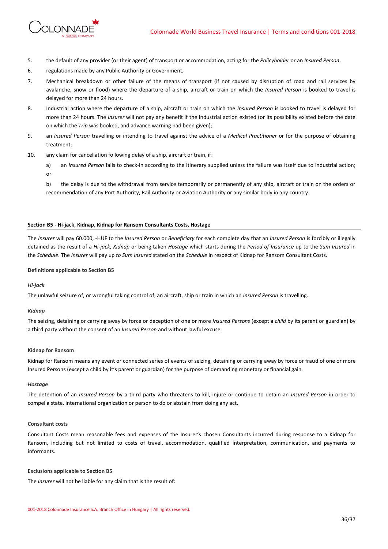

- 5. the default of any provider (or their agent) of transport or accommodation, acting for the *Policyholder* or an *Insured Person*,
- 6. regulations made by any Public Authority or Government,
- 7. Mechanical breakdown or other failure of the means of transport (if not caused by disruption of road and rail services by avalanche, snow or flood) where the departure of a ship, aircraft or train on which the *Insured Person* is booked to travel is delayed for more than 24 hours.
- 8. Industrial action where the departure of a ship, aircraft or train on which the *Insured Person* is booked to travel is delayed for more than 24 hours. The *Insurer* will not pay any benefit if the industrial action existed (or its possibility existed before the date on which the *Trip* was booked, and advance warning had been given);
- 9. an *Insured Person* travelling or intending to travel against the advice of a *Medical Practitioner* or for the purpose of obtaining treatment;
- 10. any claim for cancellation following delay of a ship, aircraft or train, if:
	- a) an *Insured Person* fails to check-in according to the itinerary supplied unless the failure was itself due to industrial action; or
	- b) the delay is due to the withdrawal from service temporarily or permanently of any ship, aircraft or train on the orders or recommendation of any Port Authority, Rail Authority or Aviation Authority or any similar body in any country.

# **Section B5 - Hi-jack, Kidnap, Kidnap for Ransom Consultants Costs, Hostage**

The *Insurer* will pay 60.000, -HUF to the *Insured Person* or *Beneficiary* for each complete day that an *Insured Person* is forcibly or illegally detained as the result of a *Hi-jack*, *Kidnap* or being taken *Hostage* which starts during the *Period of Insurance* up to the *Sum Insured* in the *Schedule*. The *Insurer* will pay up *to Sum Insured* stated on the *Schedule* in respect of Kidnap for Ransom Consultant Costs.

### **Definitions applicable to Section B5**

### *Hi-jack*

The unlawful seizure of, or wrongful taking control of, an aircraft, ship or train in which an *Insured Person* is travelling.

## *Kidnap*

The seizing, detaining or carrying away by force or deception of one or more *Insured Persons* (except a *child* by its parent or guardian) by a third party without the consent of an *Insured Person* and without lawful excuse.

### **Kidnap for Ransom**

Kidnap for Ransom means any event or connected series of events of seizing, detaining or carrying away by force or fraud of one or more Insured Persons (except a child by it's parent or guardian) for the purpose of demanding monetary or financial gain.

### *Hostage*

The detention of an *Insured Person* by a third party who threatens to kill, injure or continue to detain an *Insured Person* in order to compel a state, international organization or person to do or abstain from doing any act.

### **Consultant costs**

Consultant Costs mean reasonable fees and expenses of the Insurer's chosen Consultants incurred during response to a Kidnap for Ransom, including but not limited to costs of travel, accommodation, qualified interpretation, communication, and payments to informants.

### **Exclusions applicable to Section B5**

The *Insurer* will not be liable for any claim that is the result of: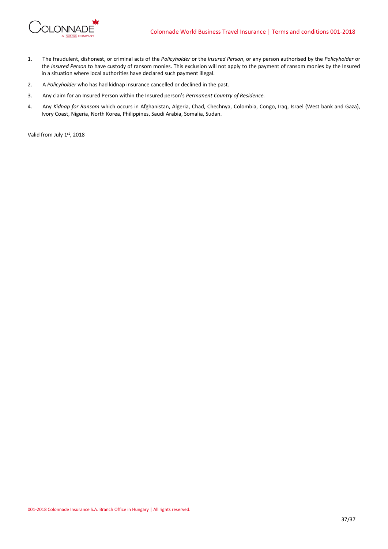

- 1. The fraudulent, dishonest, or criminal acts of the *Policyholder* or the *Insured Person*, or any person authorised by the *Policyholder* or the *Insured Person* to have custody of ransom monies. This exclusion will not apply to the payment of ransom monies by the Insured in a situation where local authorities have declared such payment illegal.
- 2. A *Policyholder* who has had kidnap insurance cancelled or declined in the past.
- 3. Any claim for an Insured Person within the Insured person's *Permanent Country of Residence.*
- 4. Any *Kidnap for Ransom* which occurs in Afghanistan, Algeria, Chad, Chechnya, Colombia, Congo, Iraq, Israel (West bank and Gaza), Ivory Coast, Nigeria, North Korea, Philippines, Saudi Arabia, Somalia, Sudan.

Valid from July 1st, 2018